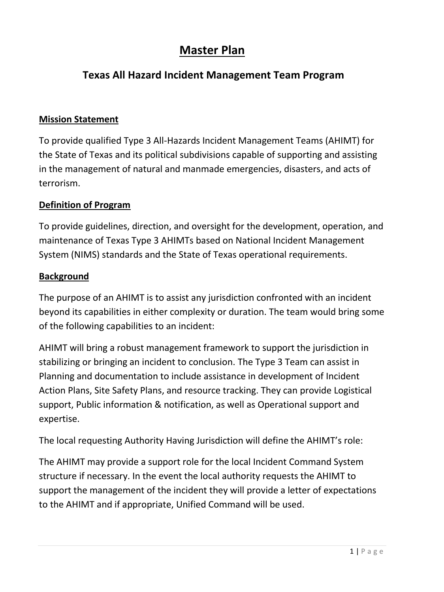# **Master Plan**

## **Texas All Hazard Incident Management Team Program**

### **Mission Statement**

To provide qualified Type 3 All-Hazards Incident Management Teams (AHIMT) for the State of Texas and its political subdivisions capable of supporting and assisting in the management of natural and manmade emergencies, disasters, and acts of terrorism.

### **Definition of Program**

To provide guidelines, direction, and oversight for the development, operation, and maintenance of Texas Type 3 AHIMTs based on National Incident Management System (NIMS) standards and the State of Texas operational requirements.

### **Background**

The purpose of an AHIMT is to assist any jurisdiction confronted with an incident beyond its capabilities in either complexity or duration. The team would bring some of the following capabilities to an incident:

AHIMT will bring a robust management framework to support the jurisdiction in stabilizing or bringing an incident to conclusion. The Type 3 Team can assist in Planning and documentation to include assistance in development of Incident Action Plans, Site Safety Plans, and resource tracking. They can provide Logistical support, Public information & notification, as well as Operational support and expertise.

The local requesting Authority Having Jurisdiction will define the AHIMT's role:

The AHIMT may provide a support role for the local Incident Command System structure if necessary. In the event the local authority requests the AHIMT to support the management of the incident they will provide a letter of expectations to the AHIMT and if appropriate, Unified Command will be used.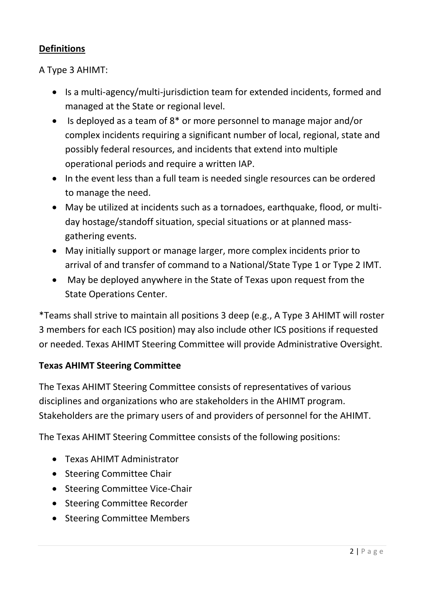## **Definitions**

A Type 3 AHIMT:

- Is a multi-agency/multi-jurisdiction team for extended incidents, formed and managed at the State or regional level.
- $\bullet$  Is deployed as a team of 8<sup>\*</sup> or more personnel to manage major and/or complex incidents requiring a significant number of local, regional, state and possibly federal resources, and incidents that extend into multiple operational periods and require a written IAP.
- In the event less than a full team is needed single resources can be ordered to manage the need.
- May be utilized at incidents such as a tornadoes, earthquake, flood, or multiday hostage/standoff situation, special situations or at planned massgathering events.
- May initially support or manage larger, more complex incidents prior to arrival of and transfer of command to a National/State Type 1 or Type 2 IMT.
- May be deployed anywhere in the State of Texas upon request from the State Operations Center.

\*Teams shall strive to maintain all positions 3 deep (e.g., A Type 3 AHIMT will roster 3 members for each ICS position) may also include other ICS positions if requested or needed. Texas AHIMT Steering Committee will provide Administrative Oversight.

## **Texas AHIMT Steering Committee**

The Texas AHIMT Steering Committee consists of representatives of various disciplines and organizations who are stakeholders in the AHIMT program. Stakeholders are the primary users of and providers of personnel for the AHIMT.

The Texas AHIMT Steering Committee consists of the following positions:

- Texas AHIMT Administrator
- Steering Committee Chair
- Steering Committee Vice-Chair
- Steering Committee Recorder
- Steering Committee Members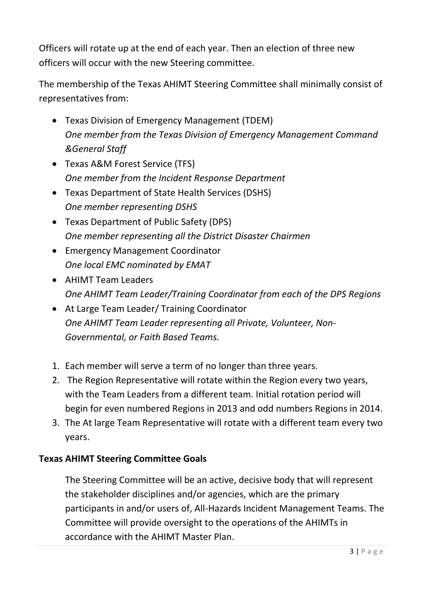Officers will rotate up at the end of each year. Then an election of three new officers will occur with the new Steering committee.

The membership of the Texas AHIMT Steering Committee shall minimally consist of representatives from:

- Texas Division of Emergency Management (TDEM) *One member from the Texas Division of Emergency Management Command &General Staff*
- Texas A&M Forest Service (TFS) *One member from the Incident Response Department*
- Texas Department of State Health Services (DSHS) *One member representing DSHS*
- Texas Department of Public Safety (DPS) *One member representing all the District Disaster Chairmen*
- Emergency Management Coordinator *One local EMC nominated by EMAT*
- AHIMT Team Leaders *One AHIMT Team Leader/Training Coordinator from each of the DPS Regions*
- At Large Team Leader/ Training Coordinator *One AHIMT Team Leader representing all Private, Volunteer, Non-Governmental, or Faith Based Teams.*
- 1. Each member will serve a term of no longer than three years.
- 2. The Region Representative will rotate within the Region every two years, with the Team Leaders from a different team. Initial rotation period will begin for even numbered Regions in 2013 and odd numbers Regions in 2014.
- 3. The At large Team Representative will rotate with a different team every two years.

## **Texas AHIMT Steering Committee Goals**

The Steering Committee will be an active, decisive body that will represent the stakeholder disciplines and/or agencies, which are the primary participants in and/or users of, All-Hazards Incident Management Teams. The Committee will provide oversight to the operations of the AHIMTs in accordance with the AHIMT Master Plan.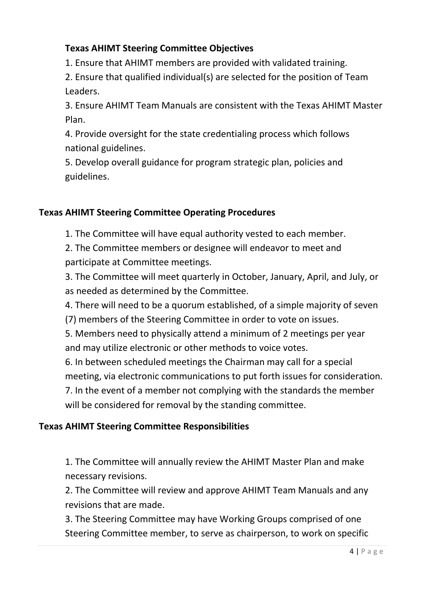## **Texas AHIMT Steering Committee Objectives**

1. Ensure that AHIMT members are provided with validated training.

2. Ensure that qualified individual(s) are selected for the position of Team Leaders.

3. Ensure AHIMT Team Manuals are consistent with the Texas AHIMT Master Plan.

4. Provide oversight for the state credentialing process which follows national guidelines.

5. Develop overall guidance for program strategic plan, policies and guidelines.

## **Texas AHIMT Steering Committee Operating Procedures**

1. The Committee will have equal authority vested to each member.

2. The Committee members or designee will endeavor to meet and participate at Committee meetings.

3. The Committee will meet quarterly in October, January, April, and July, or as needed as determined by the Committee.

4. There will need to be a quorum established, of a simple majority of seven

(7) members of the Steering Committee in order to vote on issues.

5. Members need to physically attend a minimum of 2 meetings per year and may utilize electronic or other methods to voice votes.

6. In between scheduled meetings the Chairman may call for a special meeting, via electronic communications to put forth issues for consideration. 7. In the event of a member not complying with the standards the member

will be considered for removal by the standing committee.

## **Texas AHIMT Steering Committee Responsibilities**

1. The Committee will annually review the AHIMT Master Plan and make necessary revisions.

2. The Committee will review and approve AHIMT Team Manuals and any revisions that are made.

3. The Steering Committee may have Working Groups comprised of one Steering Committee member, to serve as chairperson, to work on specific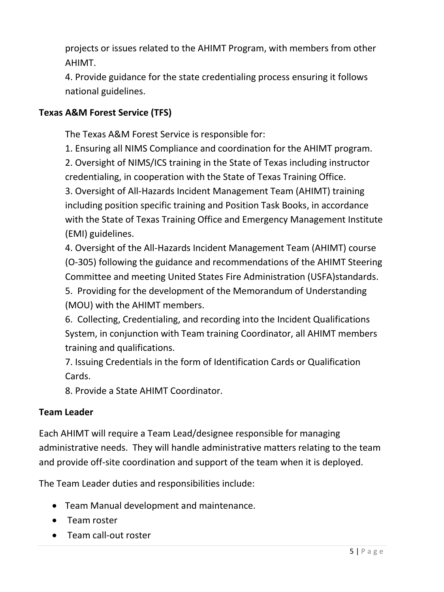projects or issues related to the AHIMT Program, with members from other AHIMT.

4. Provide guidance for the state credentialing process ensuring it follows national guidelines.

## **Texas A&M Forest Service (TFS)**

The Texas A&M Forest Service is responsible for:

1. Ensuring all NIMS Compliance and coordination for the AHIMT program.

2. Oversight of NIMS/ICS training in the State of Texas including instructor credentialing, in cooperation with the State of Texas Training Office.

3. Oversight of All-Hazards Incident Management Team (AHIMT) training including position specific training and Position Task Books, in accordance with the State of Texas Training Office and Emergency Management Institute (EMI) guidelines.

4. Oversight of the All-Hazards Incident Management Team (AHIMT) course (O-305) following the guidance and recommendations of the AHIMT Steering Committee and meeting United States Fire Administration (USFA)standards. 5. Providing for the development of the Memorandum of Understanding (MOU) with the AHIMT members.

6. Collecting, Credentialing, and recording into the Incident Qualifications System, in conjunction with Team training Coordinator, all AHIMT members training and qualifications.

7. Issuing Credentials in the form of Identification Cards or Qualification Cards.

8. Provide a State AHIMT Coordinator.

## **Team Leader**

Each AHIMT will require a Team Lead/designee responsible for managing administrative needs. They will handle administrative matters relating to the team and provide off-site coordination and support of the team when it is deployed.

The Team Leader duties and responsibilities include:

- Team Manual development and maintenance.
- Team roster
- Team call-out roster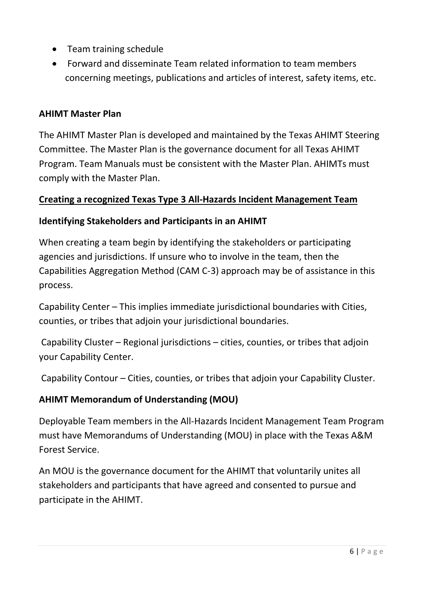- Team training schedule
- Forward and disseminate Team related information to team members concerning meetings, publications and articles of interest, safety items, etc.

## **AHIMT Master Plan**

The AHIMT Master Plan is developed and maintained by the Texas AHIMT Steering Committee. The Master Plan is the governance document for all Texas AHIMT Program. Team Manuals must be consistent with the Master Plan. AHIMTs must comply with the Master Plan.

## **Creating a recognized Texas Type 3 All-Hazards Incident Management Team**

## **Identifying Stakeholders and Participants in an AHIMT**

When creating a team begin by identifying the stakeholders or participating agencies and jurisdictions. If unsure who to involve in the team, then the Capabilities Aggregation Method (CAM C-3) approach may be of assistance in this process.

Capability Center – This implies immediate jurisdictional boundaries with Cities, counties, or tribes that adjoin your jurisdictional boundaries.

Capability Cluster – Regional jurisdictions – cities, counties, or tribes that adjoin your Capability Center.

Capability Contour – Cities, counties, or tribes that adjoin your Capability Cluster.

## **AHIMT Memorandum of Understanding (MOU)**

Deployable Team members in the All-Hazards Incident Management Team Program must have Memorandums of Understanding (MOU) in place with the Texas A&M Forest Service.

An MOU is the governance document for the AHIMT that voluntarily unites all stakeholders and participants that have agreed and consented to pursue and participate in the AHIMT.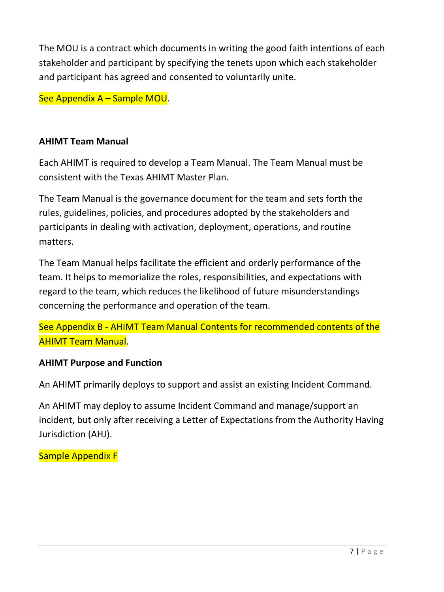The MOU is a contract which documents in writing the good faith intentions of each stakeholder and participant by specifying the tenets upon which each stakeholder and participant has agreed and consented to voluntarily unite.

See Appendix A – Sample MOU.

## **AHIMT Team Manual**

Each AHIMT is required to develop a Team Manual. The Team Manual must be consistent with the Texas AHIMT Master Plan.

The Team Manual is the governance document for the team and sets forth the rules, guidelines, policies, and procedures adopted by the stakeholders and participants in dealing with activation, deployment, operations, and routine matters.

The Team Manual helps facilitate the efficient and orderly performance of the team. It helps to memorialize the roles, responsibilities, and expectations with regard to the team, which reduces the likelihood of future misunderstandings concerning the performance and operation of the team.

See Appendix B - AHIMT Team Manual Contents for recommended contents of the AHIMT Team Manual.

## **AHIMT Purpose and Function**

An AHIMT primarily deploys to support and assist an existing Incident Command.

An AHIMT may deploy to assume Incident Command and manage/support an incident, but only after receiving a Letter of Expectations from the Authority Having Jurisdiction (AHJ).

Sample Appendix F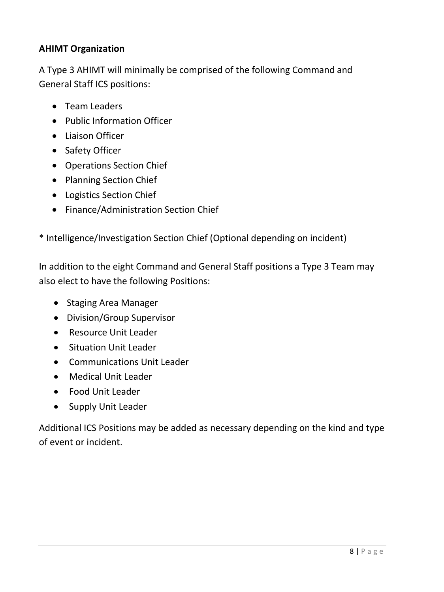## **AHIMT Organization**

A Type 3 AHIMT will minimally be comprised of the following Command and General Staff ICS positions:

- Team Leaders
- Public Information Officer
- Liaison Officer
- Safety Officer
- Operations Section Chief
- Planning Section Chief
- Logistics Section Chief
- Finance/Administration Section Chief
- \* Intelligence/Investigation Section Chief (Optional depending on incident)

In addition to the eight Command and General Staff positions a Type 3 Team may also elect to have the following Positions:

- Staging Area Manager
- Division/Group Supervisor
- Resource Unit Leader
- Situation Unit Leader
- Communications Unit Leader
- Medical Unit Leader
- Food Unit Leader
- Supply Unit Leader

Additional ICS Positions may be added as necessary depending on the kind and type of event or incident.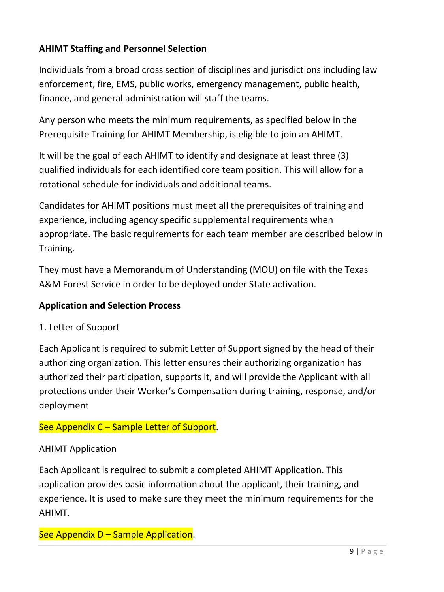## **AHIMT Staffing and Personnel Selection**

Individuals from a broad cross section of disciplines and jurisdictions including law enforcement, fire, EMS, public works, emergency management, public health, finance, and general administration will staff the teams.

Any person who meets the minimum requirements, as specified below in the Prerequisite Training for AHIMT Membership, is eligible to join an AHIMT.

It will be the goal of each AHIMT to identify and designate at least three (3) qualified individuals for each identified core team position. This will allow for a rotational schedule for individuals and additional teams.

Candidates for AHIMT positions must meet all the prerequisites of training and experience, including agency specific supplemental requirements when appropriate. The basic requirements for each team member are described below in Training.

They must have a Memorandum of Understanding (MOU) on file with the Texas A&M Forest Service in order to be deployed under State activation.

## **Application and Selection Process**

1. Letter of Support

Each Applicant is required to submit Letter of Support signed by the head of their authorizing organization. This letter ensures their authorizing organization has authorized their participation, supports it, and will provide the Applicant with all protections under their Worker's Compensation during training, response, and/or deployment

## See Appendix C - Sample Letter of Support.

## AHIMT Application

Each Applicant is required to submit a completed AHIMT Application. This application provides basic information about the applicant, their training, and experience. It is used to make sure they meet the minimum requirements for the AHIMT.

## See Appendix D – Sample Application.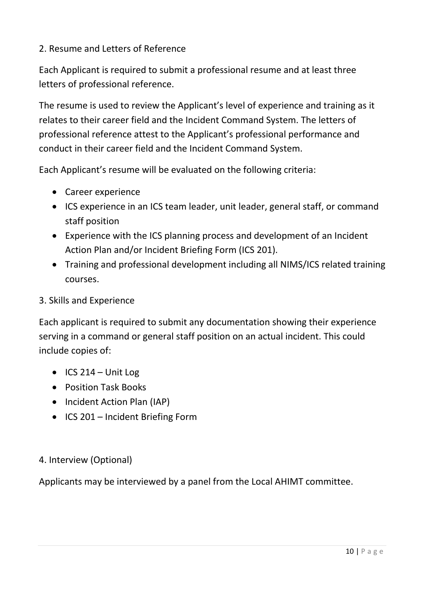## 2. Resume and Letters of Reference

Each Applicant is required to submit a professional resume and at least three letters of professional reference.

The resume is used to review the Applicant's level of experience and training as it relates to their career field and the Incident Command System. The letters of professional reference attest to the Applicant's professional performance and conduct in their career field and the Incident Command System.

Each Applicant's resume will be evaluated on the following criteria:

- Career experience
- ICS experience in an ICS team leader, unit leader, general staff, or command staff position
- Experience with the ICS planning process and development of an Incident Action Plan and/or Incident Briefing Form (ICS 201).
- Training and professional development including all NIMS/ICS related training courses.

## 3. Skills and Experience

Each applicant is required to submit any documentation showing their experience serving in a command or general staff position on an actual incident. This could include copies of:

- $\bullet$  ICS 214 Unit Log
- Position Task Books
- Incident Action Plan (IAP)
- ICS 201 Incident Briefing Form

## 4. Interview (Optional)

Applicants may be interviewed by a panel from the Local AHIMT committee.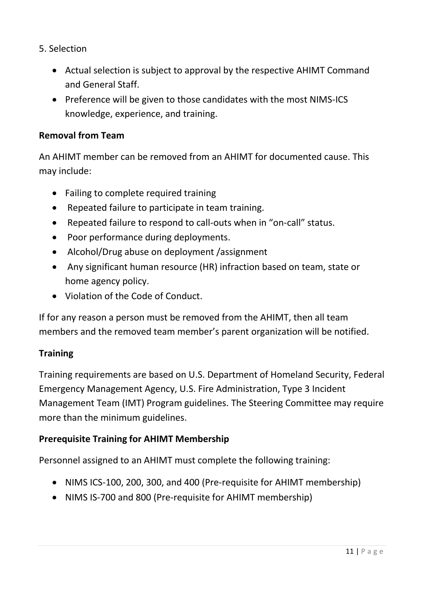- 5. Selection
	- Actual selection is subject to approval by the respective AHIMT Command and General Staff.
	- Preference will be given to those candidates with the most NIMS-ICS knowledge, experience, and training.

### **Removal from Team**

An AHIMT member can be removed from an AHIMT for documented cause. This may include:

- Failing to complete required training
- Repeated failure to participate in team training.
- Repeated failure to respond to call-outs when in "on-call" status.
- Poor performance during deployments.
- Alcohol/Drug abuse on deployment /assignment
- Any significant human resource (HR) infraction based on team, state or home agency policy.
- Violation of the Code of Conduct.

If for any reason a person must be removed from the AHIMT, then all team members and the removed team member's parent organization will be notified.

### **Training**

Training requirements are based on U.S. Department of Homeland Security, Federal Emergency Management Agency, U.S. Fire Administration, Type 3 Incident Management Team (IMT) Program guidelines. The Steering Committee may require more than the minimum guidelines.

## **Prerequisite Training for AHIMT Membership**

Personnel assigned to an AHIMT must complete the following training:

- NIMS ICS-100, 200, 300, and 400 (Pre-requisite for AHIMT membership)
- NIMS IS-700 and 800 (Pre-requisite for AHIMT membership)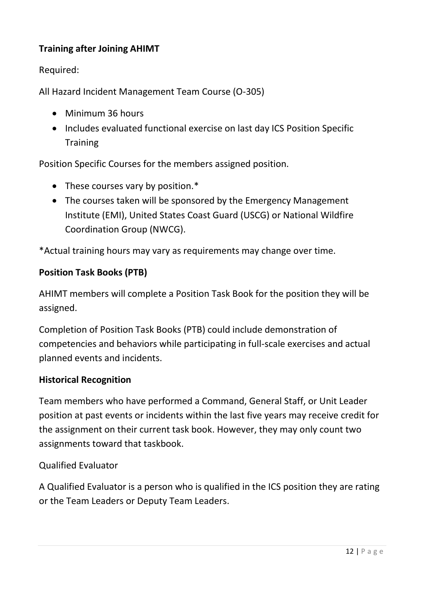## **Training after Joining AHIMT**

Required:

All Hazard Incident Management Team Course (O-305)

- Minimum 36 hours
- Includes evaluated functional exercise on last day ICS Position Specific **Training**

Position Specific Courses for the members assigned position.

- These courses vary by position.\*
- The courses taken will be sponsored by the Emergency Management Institute (EMI), United States Coast Guard (USCG) or National Wildfire Coordination Group (NWCG).

\*Actual training hours may vary as requirements may change over time.

### **Position Task Books (PTB)**

AHIMT members will complete a Position Task Book for the position they will be assigned.

Completion of Position Task Books (PTB) could include demonstration of competencies and behaviors while participating in full-scale exercises and actual planned events and incidents.

### **Historical Recognition**

Team members who have performed a Command, General Staff, or Unit Leader position at past events or incidents within the last five years may receive credit for the assignment on their current task book. However, they may only count two assignments toward that taskbook.

Qualified Evaluator

A Qualified Evaluator is a person who is qualified in the ICS position they are rating or the Team Leaders or Deputy Team Leaders.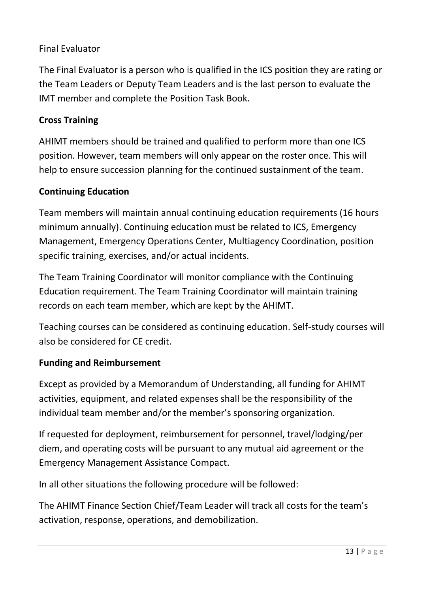## Final Evaluator

The Final Evaluator is a person who is qualified in the ICS position they are rating or the Team Leaders or Deputy Team Leaders and is the last person to evaluate the IMT member and complete the Position Task Book.

## **Cross Training**

AHIMT members should be trained and qualified to perform more than one ICS position. However, team members will only appear on the roster once. This will help to ensure succession planning for the continued sustainment of the team.

## **Continuing Education**

Team members will maintain annual continuing education requirements (16 hours minimum annually). Continuing education must be related to ICS, Emergency Management, Emergency Operations Center, Multiagency Coordination, position specific training, exercises, and/or actual incidents.

The Team Training Coordinator will monitor compliance with the Continuing Education requirement. The Team Training Coordinator will maintain training records on each team member, which are kept by the AHIMT.

Teaching courses can be considered as continuing education. Self-study courses will also be considered for CE credit.

## **Funding and Reimbursement**

Except as provided by a Memorandum of Understanding, all funding for AHIMT activities, equipment, and related expenses shall be the responsibility of the individual team member and/or the member's sponsoring organization.

If requested for deployment, reimbursement for personnel, travel/lodging/per diem, and operating costs will be pursuant to any mutual aid agreement or the Emergency Management Assistance Compact.

In all other situations the following procedure will be followed:

The AHIMT Finance Section Chief/Team Leader will track all costs for the team's activation, response, operations, and demobilization.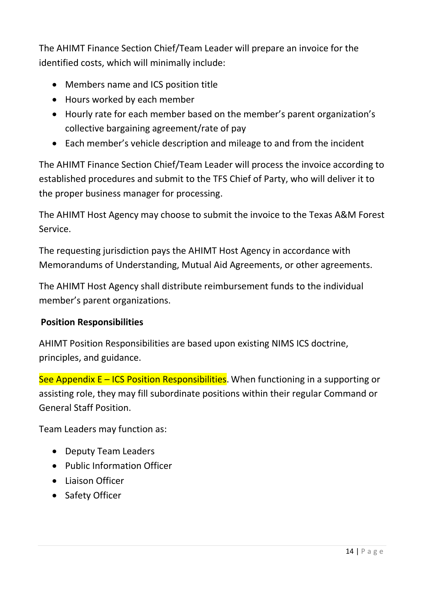The AHIMT Finance Section Chief/Team Leader will prepare an invoice for the identified costs, which will minimally include:

- Members name and ICS position title
- Hours worked by each member
- Hourly rate for each member based on the member's parent organization's collective bargaining agreement/rate of pay
- Each member's vehicle description and mileage to and from the incident

The AHIMT Finance Section Chief/Team Leader will process the invoice according to established procedures and submit to the TFS Chief of Party, who will deliver it to the proper business manager for processing.

The AHIMT Host Agency may choose to submit the invoice to the Texas A&M Forest Service.

The requesting jurisdiction pays the AHIMT Host Agency in accordance with Memorandums of Understanding, Mutual Aid Agreements, or other agreements.

The AHIMT Host Agency shall distribute reimbursement funds to the individual member's parent organizations.

## **Position Responsibilities**

AHIMT Position Responsibilities are based upon existing NIMS ICS doctrine, principles, and guidance.

See Appendix  $E - ICS$  Position Responsibilities. When functioning in a supporting or assisting role, they may fill subordinate positions within their regular Command or General Staff Position.

Team Leaders may function as:

- Deputy Team Leaders
- Public Information Officer
- Liaison Officer
- Safety Officer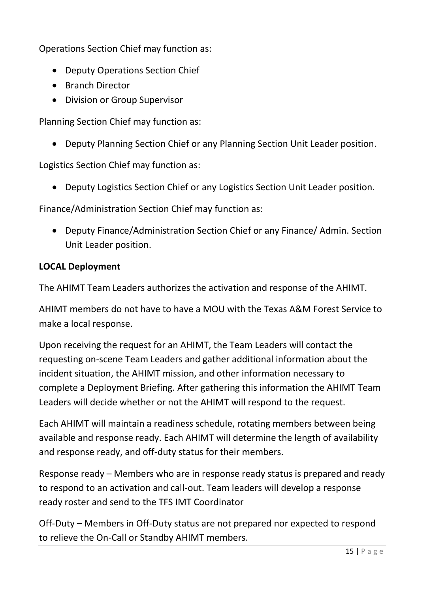Operations Section Chief may function as:

- Deputy Operations Section Chief
- Branch Director
- Division or Group Supervisor

Planning Section Chief may function as:

Deputy Planning Section Chief or any Planning Section Unit Leader position.

Logistics Section Chief may function as:

Deputy Logistics Section Chief or any Logistics Section Unit Leader position.

Finance/Administration Section Chief may function as:

 Deputy Finance/Administration Section Chief or any Finance/ Admin. Section Unit Leader position.

### **LOCAL Deployment**

The AHIMT Team Leaders authorizes the activation and response of the AHIMT.

AHIMT members do not have to have a MOU with the Texas A&M Forest Service to make a local response.

Upon receiving the request for an AHIMT, the Team Leaders will contact the requesting on-scene Team Leaders and gather additional information about the incident situation, the AHIMT mission, and other information necessary to complete a Deployment Briefing. After gathering this information the AHIMT Team Leaders will decide whether or not the AHIMT will respond to the request.

Each AHIMT will maintain a readiness schedule, rotating members between being available and response ready. Each AHIMT will determine the length of availability and response ready, and off-duty status for their members.

Response ready – Members who are in response ready status is prepared and ready to respond to an activation and call-out. Team leaders will develop a response ready roster and send to the TFS IMT Coordinator

Off-Duty – Members in Off-Duty status are not prepared nor expected to respond to relieve the On-Call or Standby AHIMT members.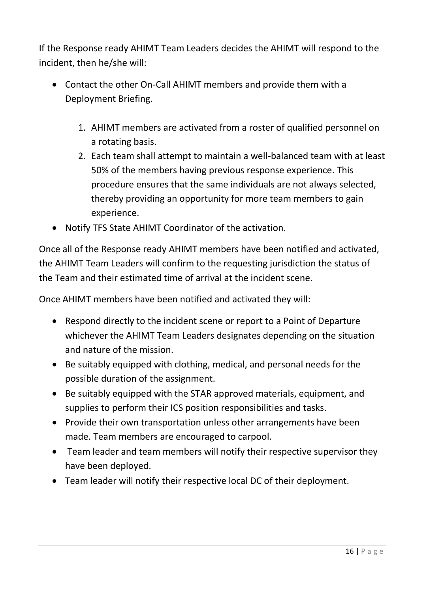If the Response ready AHIMT Team Leaders decides the AHIMT will respond to the incident, then he/she will:

- Contact the other On-Call AHIMT members and provide them with a Deployment Briefing.
	- 1. AHIMT members are activated from a roster of qualified personnel on a rotating basis.
	- 2. Each team shall attempt to maintain a well-balanced team with at least 50% of the members having previous response experience. This procedure ensures that the same individuals are not always selected, thereby providing an opportunity for more team members to gain experience.
- Notify TFS State AHIMT Coordinator of the activation.

Once all of the Response ready AHIMT members have been notified and activated, the AHIMT Team Leaders will confirm to the requesting jurisdiction the status of the Team and their estimated time of arrival at the incident scene.

Once AHIMT members have been notified and activated they will:

- Respond directly to the incident scene or report to a Point of Departure whichever the AHIMT Team Leaders designates depending on the situation and nature of the mission.
- Be suitably equipped with clothing, medical, and personal needs for the possible duration of the assignment.
- Be suitably equipped with the STAR approved materials, equipment, and supplies to perform their ICS position responsibilities and tasks.
- Provide their own transportation unless other arrangements have been made. Team members are encouraged to carpool.
- Team leader and team members will notify their respective supervisor they have been deployed.
- Team leader will notify their respective local DC of their deployment.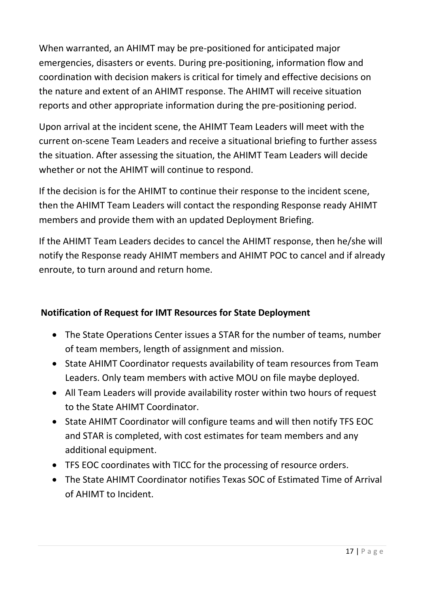When warranted, an AHIMT may be pre-positioned for anticipated major emergencies, disasters or events. During pre-positioning, information flow and coordination with decision makers is critical for timely and effective decisions on the nature and extent of an AHIMT response. The AHIMT will receive situation reports and other appropriate information during the pre-positioning period.

Upon arrival at the incident scene, the AHIMT Team Leaders will meet with the current on-scene Team Leaders and receive a situational briefing to further assess the situation. After assessing the situation, the AHIMT Team Leaders will decide whether or not the AHIMT will continue to respond.

If the decision is for the AHIMT to continue their response to the incident scene, then the AHIMT Team Leaders will contact the responding Response ready AHIMT members and provide them with an updated Deployment Briefing.

If the AHIMT Team Leaders decides to cancel the AHIMT response, then he/she will notify the Response ready AHIMT members and AHIMT POC to cancel and if already enroute, to turn around and return home.

## **Notification of Request for IMT Resources for State Deployment**

- The State Operations Center issues a STAR for the number of teams, number of team members, length of assignment and mission.
- State AHIMT Coordinator requests availability of team resources from Team Leaders. Only team members with active MOU on file maybe deployed.
- All Team Leaders will provide availability roster within two hours of request to the State AHIMT Coordinator.
- State AHIMT Coordinator will configure teams and will then notify TFS EOC and STAR is completed, with cost estimates for team members and any additional equipment.
- TFS EOC coordinates with TICC for the processing of resource orders.
- The State AHIMT Coordinator notifies Texas SOC of Estimated Time of Arrival of AHIMT to Incident.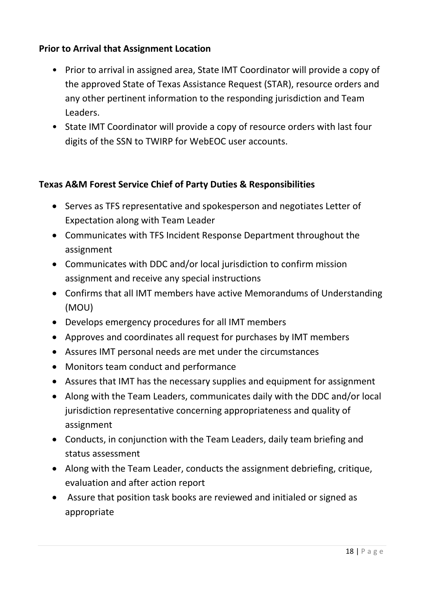## **Prior to Arrival that Assignment Location**

- Prior to arrival in assigned area, State IMT Coordinator will provide a copy of the approved State of Texas Assistance Request (STAR), resource orders and any other pertinent information to the responding jurisdiction and Team Leaders.
- State IMT Coordinator will provide a copy of resource orders with last four digits of the SSN to TWIRP for WebEOC user accounts.

## **Texas A&M Forest Service Chief of Party Duties & Responsibilities**

- Serves as TFS representative and spokesperson and negotiates Letter of Expectation along with Team Leader
- Communicates with TFS Incident Response Department throughout the assignment
- Communicates with DDC and/or local jurisdiction to confirm mission assignment and receive any special instructions
- Confirms that all IMT members have active Memorandums of Understanding (MOU)
- Develops emergency procedures for all IMT members
- Approves and coordinates all request for purchases by IMT members
- Assures IMT personal needs are met under the circumstances
- Monitors team conduct and performance
- Assures that IMT has the necessary supplies and equipment for assignment
- Along with the Team Leaders, communicates daily with the DDC and/or local jurisdiction representative concerning appropriateness and quality of assignment
- Conducts, in conjunction with the Team Leaders, daily team briefing and status assessment
- Along with the Team Leader, conducts the assignment debriefing, critique, evaluation and after action report
- Assure that position task books are reviewed and initialed or signed as appropriate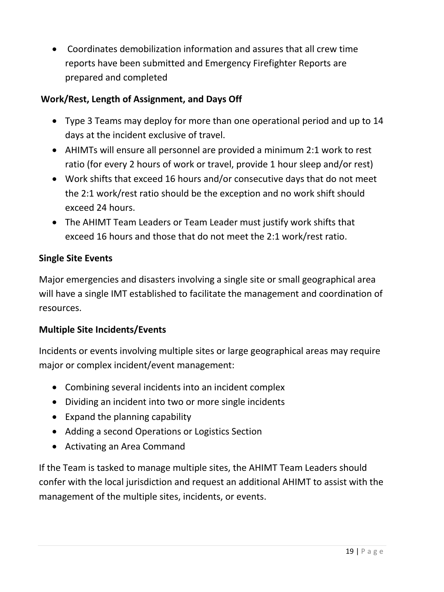Coordinates demobilization information and assures that all crew time reports have been submitted and Emergency Firefighter Reports are prepared and completed

## **Work/Rest, Length of Assignment, and Days Off**

- Type 3 Teams may deploy for more than one operational period and up to 14 days at the incident exclusive of travel.
- AHIMTs will ensure all personnel are provided a minimum 2:1 work to rest ratio (for every 2 hours of work or travel, provide 1 hour sleep and/or rest)
- Work shifts that exceed 16 hours and/or consecutive days that do not meet the 2:1 work/rest ratio should be the exception and no work shift should exceed 24 hours.
- The AHIMT Team Leaders or Team Leader must justify work shifts that exceed 16 hours and those that do not meet the 2:1 work/rest ratio.

## **Single Site Events**

Major emergencies and disasters involving a single site or small geographical area will have a single IMT established to facilitate the management and coordination of resources.

## **Multiple Site Incidents/Events**

Incidents or events involving multiple sites or large geographical areas may require major or complex incident/event management:

- Combining several incidents into an incident complex
- Dividing an incident into two or more single incidents
- Expand the planning capability
- Adding a second Operations or Logistics Section
- Activating an Area Command

If the Team is tasked to manage multiple sites, the AHIMT Team Leaders should confer with the local jurisdiction and request an additional AHIMT to assist with the management of the multiple sites, incidents, or events.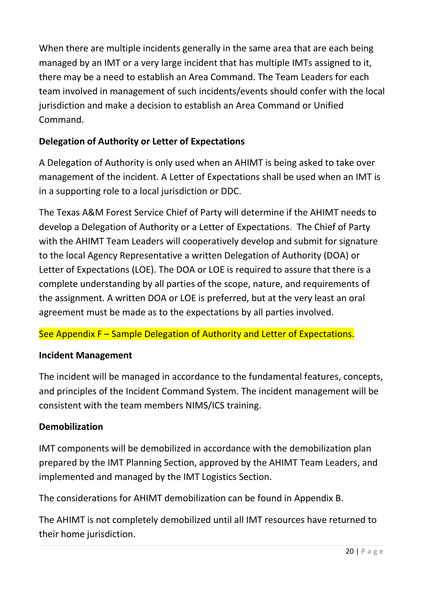When there are multiple incidents generally in the same area that are each being managed by an IMT or a very large incident that has multiple IMTs assigned to it, there may be a need to establish an Area Command. The Team Leaders for each team involved in management of such incidents/events should confer with the local jurisdiction and make a decision to establish an Area Command or Unified Command.

## **Delegation of Authority or Letter of Expectations**

A Delegation of Authority is only used when an AHIMT is being asked to take over management of the incident. A Letter of Expectations shall be used when an IMT is in a supporting role to a local jurisdiction or DDC.

The Texas A&M Forest Service Chief of Party will determine if the AHIMT needs to develop a Delegation of Authority or a Letter of Expectations. The Chief of Party with the AHIMT Team Leaders will cooperatively develop and submit for signature to the local Agency Representative a written Delegation of Authority (DOA) or Letter of Expectations (LOE). The DOA or LOE is required to assure that there is a complete understanding by all parties of the scope, nature, and requirements of the assignment. A written DOA or LOE is preferred, but at the very least an oral agreement must be made as to the expectations by all parties involved.

See Appendix F – Sample Delegation of Authority and Letter of Expectations.

## **Incident Management**

The incident will be managed in accordance to the fundamental features, concepts, and principles of the Incident Command System. The incident management will be consistent with the team members NIMS/ICS training.

## **Demobilization**

IMT components will be demobilized in accordance with the demobilization plan prepared by the IMT Planning Section, approved by the AHIMT Team Leaders, and implemented and managed by the IMT Logistics Section.

The considerations for AHIMT demobilization can be found in Appendix B.

The AHIMT is not completely demobilized until all IMT resources have returned to their home jurisdiction.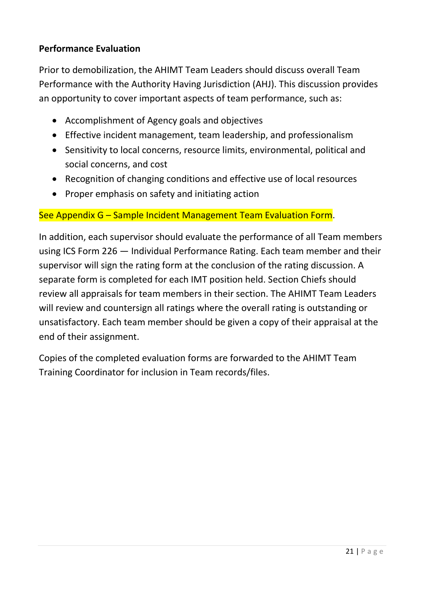## **Performance Evaluation**

Prior to demobilization, the AHIMT Team Leaders should discuss overall Team Performance with the Authority Having Jurisdiction (AHJ). This discussion provides an opportunity to cover important aspects of team performance, such as:

- Accomplishment of Agency goals and objectives
- Effective incident management, team leadership, and professionalism
- Sensitivity to local concerns, resource limits, environmental, political and social concerns, and cost
- Recognition of changing conditions and effective use of local resources
- Proper emphasis on safety and initiating action

### See Appendix G – Sample Incident Management Team Evaluation Form.

In addition, each supervisor should evaluate the performance of all Team members using ICS Form 226 — Individual Performance Rating. Each team member and their supervisor will sign the rating form at the conclusion of the rating discussion. A separate form is completed for each IMT position held. Section Chiefs should review all appraisals for team members in their section. The AHIMT Team Leaders will review and countersign all ratings where the overall rating is outstanding or unsatisfactory. Each team member should be given a copy of their appraisal at the end of their assignment.

Copies of the completed evaluation forms are forwarded to the AHIMT Team Training Coordinator for inclusion in Team records/files.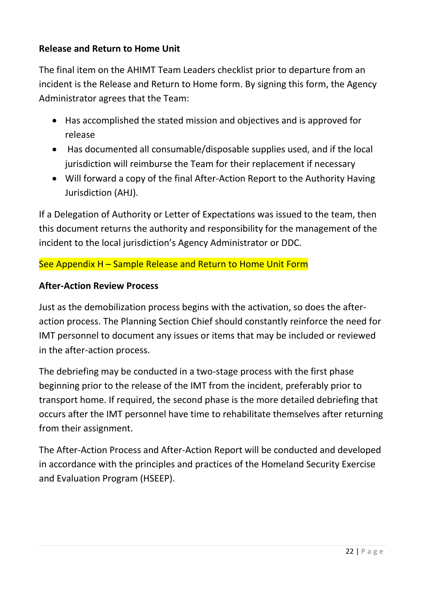## **Release and Return to Home Unit**

The final item on the AHIMT Team Leaders checklist prior to departure from an incident is the Release and Return to Home form. By signing this form, the Agency Administrator agrees that the Team:

- Has accomplished the stated mission and objectives and is approved for release
- Has documented all consumable/disposable supplies used, and if the local jurisdiction will reimburse the Team for their replacement if necessary
- Will forward a copy of the final After-Action Report to the Authority Having Jurisdiction (AHJ).

If a Delegation of Authority or Letter of Expectations was issued to the team, then this document returns the authority and responsibility for the management of the incident to the local jurisdiction's Agency Administrator or DDC.

## See Appendix H – Sample Release and Return to Home Unit Form

## **After-Action Review Process**

Just as the demobilization process begins with the activation, so does the afteraction process. The Planning Section Chief should constantly reinforce the need for IMT personnel to document any issues or items that may be included or reviewed in the after-action process.

The debriefing may be conducted in a two-stage process with the first phase beginning prior to the release of the IMT from the incident, preferably prior to transport home. If required, the second phase is the more detailed debriefing that occurs after the IMT personnel have time to rehabilitate themselves after returning from their assignment.

The After-Action Process and After-Action Report will be conducted and developed in accordance with the principles and practices of the Homeland Security Exercise and Evaluation Program (HSEEP).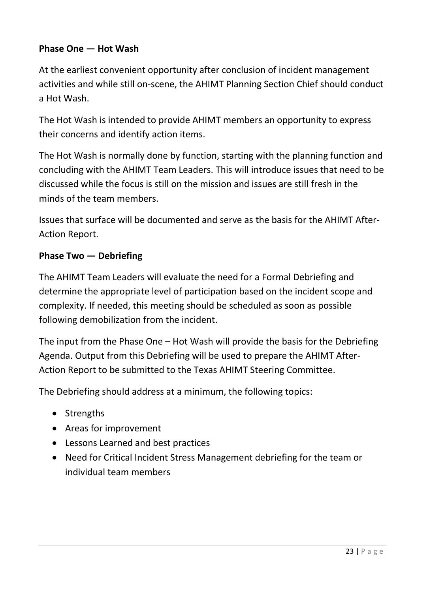## **Phase One — Hot Wash**

At the earliest convenient opportunity after conclusion of incident management activities and while still on-scene, the AHIMT Planning Section Chief should conduct a Hot Wash.

The Hot Wash is intended to provide AHIMT members an opportunity to express their concerns and identify action items.

The Hot Wash is normally done by function, starting with the planning function and concluding with the AHIMT Team Leaders. This will introduce issues that need to be discussed while the focus is still on the mission and issues are still fresh in the minds of the team members.

Issues that surface will be documented and serve as the basis for the AHIMT After-Action Report.

### **Phase Two — Debriefing**

The AHIMT Team Leaders will evaluate the need for a Formal Debriefing and determine the appropriate level of participation based on the incident scope and complexity. If needed, this meeting should be scheduled as soon as possible following demobilization from the incident.

The input from the Phase One – Hot Wash will provide the basis for the Debriefing Agenda. Output from this Debriefing will be used to prepare the AHIMT After-Action Report to be submitted to the Texas AHIMT Steering Committee.

The Debriefing should address at a minimum, the following topics:

- Strengths
- Areas for improvement
- Lessons Learned and best practices
- Need for Critical Incident Stress Management debriefing for the team or individual team members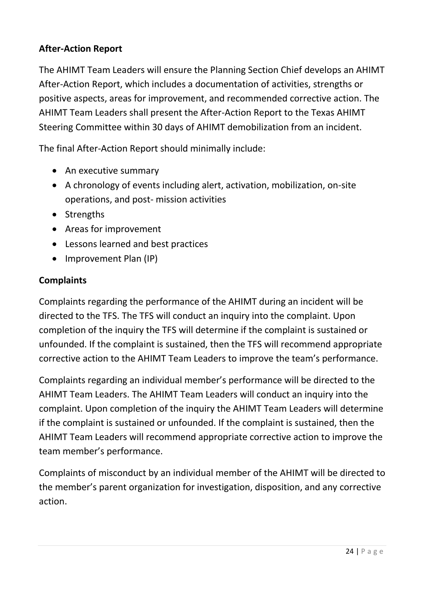## **After-Action Report**

The AHIMT Team Leaders will ensure the Planning Section Chief develops an AHIMT After-Action Report, which includes a documentation of activities, strengths or positive aspects, areas for improvement, and recommended corrective action. The AHIMT Team Leaders shall present the After-Action Report to the Texas AHIMT Steering Committee within 30 days of AHIMT demobilization from an incident.

The final After-Action Report should minimally include:

- An executive summary
- A chronology of events including alert, activation, mobilization, on-site operations, and post- mission activities
- Strengths
- Areas for improvement
- Lessons learned and best practices
- Improvement Plan (IP)

### **Complaints**

Complaints regarding the performance of the AHIMT during an incident will be directed to the TFS. The TFS will conduct an inquiry into the complaint. Upon completion of the inquiry the TFS will determine if the complaint is sustained or unfounded. If the complaint is sustained, then the TFS will recommend appropriate corrective action to the AHIMT Team Leaders to improve the team's performance.

Complaints regarding an individual member's performance will be directed to the AHIMT Team Leaders. The AHIMT Team Leaders will conduct an inquiry into the complaint. Upon completion of the inquiry the AHIMT Team Leaders will determine if the complaint is sustained or unfounded. If the complaint is sustained, then the AHIMT Team Leaders will recommend appropriate corrective action to improve the team member's performance.

Complaints of misconduct by an individual member of the AHIMT will be directed to the member's parent organization for investigation, disposition, and any corrective action.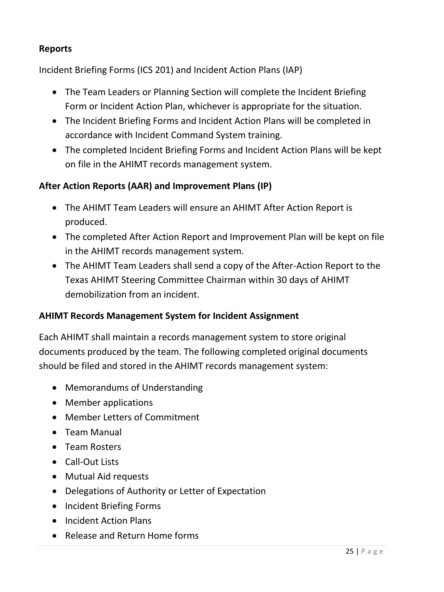## **Reports**

Incident Briefing Forms (ICS 201) and Incident Action Plans (IAP)

- The Team Leaders or Planning Section will complete the Incident Briefing Form or Incident Action Plan, whichever is appropriate for the situation.
- The Incident Briefing Forms and Incident Action Plans will be completed in accordance with Incident Command System training.
- The completed Incident Briefing Forms and Incident Action Plans will be kept on file in the AHIMT records management system.

## **After Action Reports (AAR) and Improvement Plans (IP)**

- The AHIMT Team Leaders will ensure an AHIMT After Action Report is produced.
- The completed After Action Report and Improvement Plan will be kept on file in the AHIMT records management system.
- The AHIMT Team Leaders shall send a copy of the After-Action Report to the Texas AHIMT Steering Committee Chairman within 30 days of AHIMT demobilization from an incident.

## **AHIMT Records Management System for Incident Assignment**

Each AHIMT shall maintain a records management system to store original documents produced by the team. The following completed original documents should be filed and stored in the AHIMT records management system:

- Memorandums of Understanding
- Member applications
- Member Letters of Commitment
- Team Manual
- Team Rosters
- Call-Out Lists
- Mutual Aid requests
- Delegations of Authority or Letter of Expectation
- Incident Briefing Forms
- Incident Action Plans
- Release and Return Home forms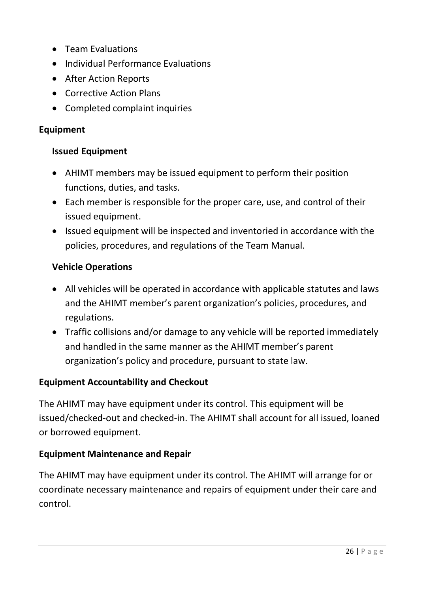- Team Evaluations
- Individual Performance Evaluations
- After Action Reports
- Corrective Action Plans
- Completed complaint inquiries

### **Equipment**

### **Issued Equipment**

- AHIMT members may be issued equipment to perform their position functions, duties, and tasks.
- Each member is responsible for the proper care, use, and control of their issued equipment.
- Issued equipment will be inspected and inventoried in accordance with the policies, procedures, and regulations of the Team Manual.

### **Vehicle Operations**

- All vehicles will be operated in accordance with applicable statutes and laws and the AHIMT member's parent organization's policies, procedures, and regulations.
- Traffic collisions and/or damage to any vehicle will be reported immediately and handled in the same manner as the AHIMT member's parent organization's policy and procedure, pursuant to state law.

## **Equipment Accountability and Checkout**

The AHIMT may have equipment under its control. This equipment will be issued/checked-out and checked-in. The AHIMT shall account for all issued, loaned or borrowed equipment.

## **Equipment Maintenance and Repair**

The AHIMT may have equipment under its control. The AHIMT will arrange for or coordinate necessary maintenance and repairs of equipment under their care and control.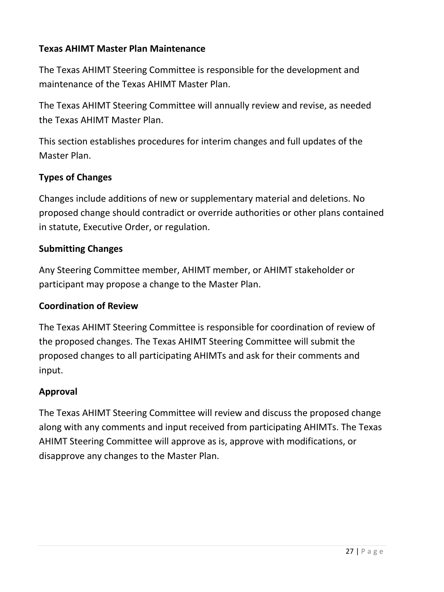## **Texas AHIMT Master Plan Maintenance**

The Texas AHIMT Steering Committee is responsible for the development and maintenance of the Texas AHIMT Master Plan.

The Texas AHIMT Steering Committee will annually review and revise, as needed the Texas AHIMT Master Plan.

This section establishes procedures for interim changes and full updates of the Master Plan.

## **Types of Changes**

Changes include additions of new or supplementary material and deletions. No proposed change should contradict or override authorities or other plans contained in statute, Executive Order, or regulation.

### **Submitting Changes**

Any Steering Committee member, AHIMT member, or AHIMT stakeholder or participant may propose a change to the Master Plan.

### **Coordination of Review**

The Texas AHIMT Steering Committee is responsible for coordination of review of the proposed changes. The Texas AHIMT Steering Committee will submit the proposed changes to all participating AHIMTs and ask for their comments and input.

## **Approval**

The Texas AHIMT Steering Committee will review and discuss the proposed change along with any comments and input received from participating AHIMTs. The Texas AHIMT Steering Committee will approve as is, approve with modifications, or disapprove any changes to the Master Plan.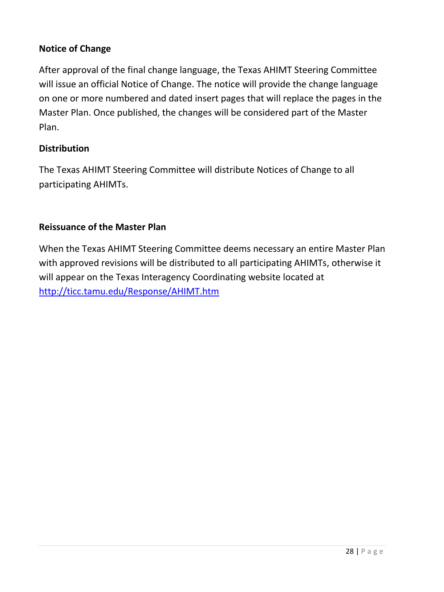## **Notice of Change**

After approval of the final change language, the Texas AHIMT Steering Committee will issue an official Notice of Change. The notice will provide the change language on one or more numbered and dated insert pages that will replace the pages in the Master Plan. Once published, the changes will be considered part of the Master Plan.

### **Distribution**

The Texas AHIMT Steering Committee will distribute Notices of Change to all participating AHIMTs.

### **Reissuance of the Master Plan**

When the Texas AHIMT Steering Committee deems necessary an entire Master Plan with approved revisions will be distributed to all participating AHIMTs, otherwise it will appear on the Texas Interagency Coordinating website located at <http://ticc.tamu.edu/Response/AHIMT.htm>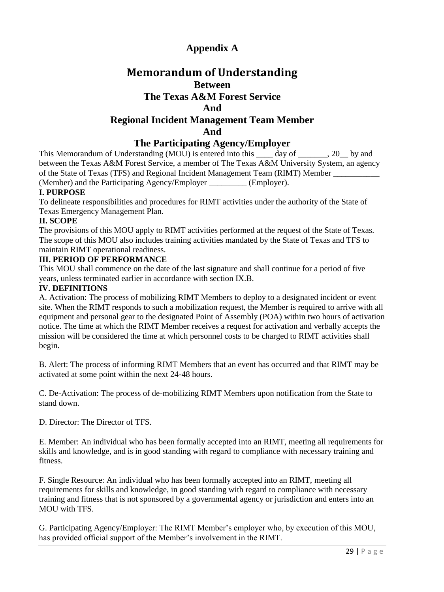## **Appendix A**

## **Memorandum of Understanding Between The Texas A&M Forest Service And Regional Incident Management Team Member And**

### **The Participating Agency/Employer**

This Memorandum of Understanding (MOU) is entered into this \_\_\_\_ day of \_\_\_\_\_\_, 20 \_\_ by and between the Texas A&M Forest Service, a member of The Texas A&M University System, an agency of the State of Texas (TFS) and Regional Incident Management Team (RIMT) Member (Member) and the Participating Agency/Employer \_\_\_\_\_\_\_\_\_ (Employer).

#### **I. PURPOSE**

To delineate responsibilities and procedures for RIMT activities under the authority of the State of Texas Emergency Management Plan.

#### **II. SCOPE**

The provisions of this MOU apply to RIMT activities performed at the request of the State of Texas. The scope of this MOU also includes training activities mandated by the State of Texas and TFS to maintain RIMT operational readiness.

#### **III. PERIOD OF PERFORMANCE**

This MOU shall commence on the date of the last signature and shall continue for a period of five years, unless terminated earlier in accordance with section IX.B.

#### **IV. DEFINITIONS**

A. Activation: The process of mobilizing RIMT Members to deploy to a designated incident or event site. When the RIMT responds to such a mobilization request, the Member is required to arrive with all equipment and personal gear to the designated Point of Assembly (POA) within two hours of activation notice. The time at which the RIMT Member receives a request for activation and verbally accepts the mission will be considered the time at which personnel costs to be charged to RIMT activities shall begin.

B. Alert: The process of informing RIMT Members that an event has occurred and that RIMT may be activated at some point within the next 24-48 hours.

C. De-Activation: The process of de-mobilizing RIMT Members upon notification from the State to stand down.

D. Director: The Director of TFS.

E. Member: An individual who has been formally accepted into an RIMT, meeting all requirements for skills and knowledge, and is in good standing with regard to compliance with necessary training and fitness.

F. Single Resource: An individual who has been formally accepted into an RIMT, meeting all requirements for skills and knowledge, in good standing with regard to compliance with necessary training and fitness that is not sponsored by a governmental agency or jurisdiction and enters into an MOU with TFS.

G. Participating Agency/Employer: The RIMT Member's employer who, by execution of this MOU, has provided official support of the Member's involvement in the RIMT.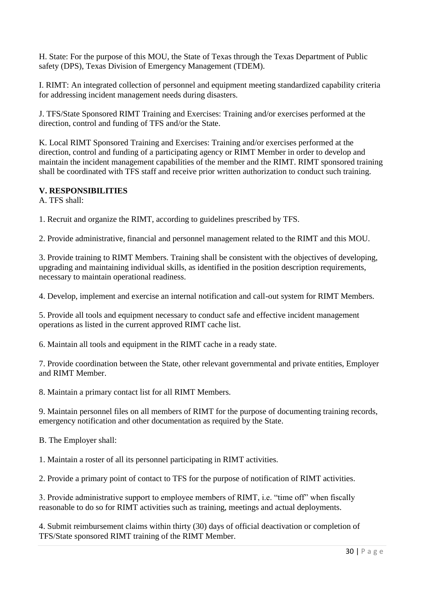H. State: For the purpose of this MOU, the State of Texas through the Texas Department of Public safety (DPS), Texas Division of Emergency Management (TDEM).

I. RIMT: An integrated collection of personnel and equipment meeting standardized capability criteria for addressing incident management needs during disasters.

J. TFS/State Sponsored RIMT Training and Exercises: Training and/or exercises performed at the direction, control and funding of TFS and/or the State.

K. Local RIMT Sponsored Training and Exercises: Training and/or exercises performed at the direction, control and funding of a participating agency or RIMT Member in order to develop and maintain the incident management capabilities of the member and the RIMT. RIMT sponsored training shall be coordinated with TFS staff and receive prior written authorization to conduct such training.

#### **V. RESPONSIBILITIES**

A. TFS shall:

1. Recruit and organize the RIMT, according to guidelines prescribed by TFS.

2. Provide administrative, financial and personnel management related to the RIMT and this MOU.

3. Provide training to RIMT Members. Training shall be consistent with the objectives of developing, upgrading and maintaining individual skills, as identified in the position description requirements, necessary to maintain operational readiness.

4. Develop, implement and exercise an internal notification and call-out system for RIMT Members.

5. Provide all tools and equipment necessary to conduct safe and effective incident management operations as listed in the current approved RIMT cache list.

6. Maintain all tools and equipment in the RIMT cache in a ready state.

7. Provide coordination between the State, other relevant governmental and private entities, Employer and RIMT Member.

8. Maintain a primary contact list for all RIMT Members.

9. Maintain personnel files on all members of RIMT for the purpose of documenting training records, emergency notification and other documentation as required by the State.

B. The Employer shall:

1. Maintain a roster of all its personnel participating in RIMT activities.

2. Provide a primary point of contact to TFS for the purpose of notification of RIMT activities.

3. Provide administrative support to employee members of RIMT, i.e. "time off" when fiscally reasonable to do so for RIMT activities such as training, meetings and actual deployments.

4. Submit reimbursement claims within thirty (30) days of official deactivation or completion of TFS/State sponsored RIMT training of the RIMT Member.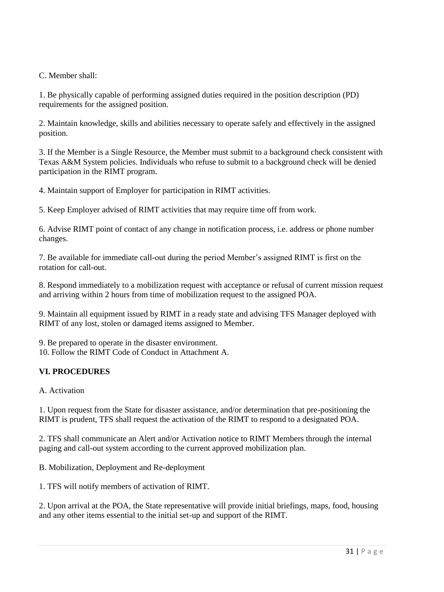C. Member shall:

1. Be physically capable of performing assigned duties required in the position description (PD) requirements for the assigned position.

2. Maintain knowledge, skills and abilities necessary to operate safely and effectively in the assigned position.

3. If the Member is a Single Resource, the Member must submit to a background check consistent with Texas A&M System policies. Individuals who refuse to submit to a background check will be denied participation in the RIMT program.

4. Maintain support of Employer for participation in RIMT activities.

5. Keep Employer advised of RIMT activities that may require time off from work.

6. Advise RIMT point of contact of any change in notification process, i.e. address or phone number changes.

7. Be available for immediate call-out during the period Member's assigned RIMT is first on the rotation for call-out.

8. Respond immediately to a mobilization request with acceptance or refusal of current mission request and arriving within 2 hours from time of mobilization request to the assigned POA.

9. Maintain all equipment issued by RIMT in a ready state and advising TFS Manager deployed with RIMT of any lost, stolen or damaged items assigned to Member.

9. Be prepared to operate in the disaster environment.

10. Follow the RIMT Code of Conduct in Attachment A.

#### **VI. PROCEDURES**

A. Activation

1. Upon request from the State for disaster assistance, and/or determination that pre-positioning the RIMT is prudent, TFS shall request the activation of the RIMT to respond to a designated POA.

2. TFS shall communicate an Alert and/or Activation notice to RIMT Members through the internal paging and call-out system according to the current approved mobilization plan.

B. Mobilization, Deployment and Re-deployment

1. TFS will notify members of activation of RIMT.

2. Upon arrival at the POA, the State representative will provide initial briefings, maps, food, housing and any other items essential to the initial set-up and support of the RIMT.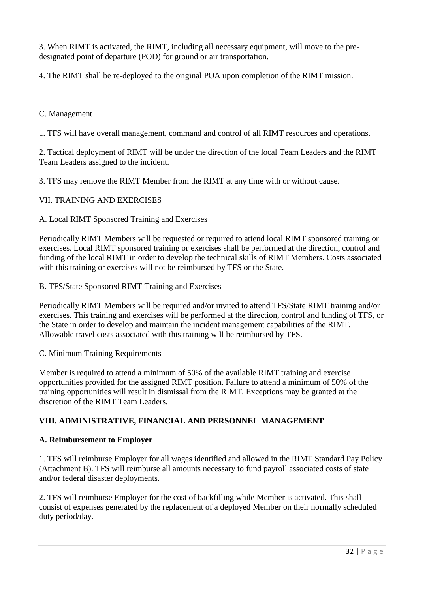3. When RIMT is activated, the RIMT, including all necessary equipment, will move to the predesignated point of departure (POD) for ground or air transportation.

4. The RIMT shall be re-deployed to the original POA upon completion of the RIMT mission.

#### C. Management

1. TFS will have overall management, command and control of all RIMT resources and operations.

2. Tactical deployment of RIMT will be under the direction of the local Team Leaders and the RIMT Team Leaders assigned to the incident.

3. TFS may remove the RIMT Member from the RIMT at any time with or without cause.

#### VII. TRAINING AND EXERCISES

#### A. Local RIMT Sponsored Training and Exercises

Periodically RIMT Members will be requested or required to attend local RIMT sponsored training or exercises. Local RIMT sponsored training or exercises shall be performed at the direction, control and funding of the local RIMT in order to develop the technical skills of RIMT Members. Costs associated with this training or exercises will not be reimbursed by TFS or the State.

#### B. TFS/State Sponsored RIMT Training and Exercises

Periodically RIMT Members will be required and/or invited to attend TFS/State RIMT training and/or exercises. This training and exercises will be performed at the direction, control and funding of TFS, or the State in order to develop and maintain the incident management capabilities of the RIMT. Allowable travel costs associated with this training will be reimbursed by TFS.

#### C. Minimum Training Requirements

Member is required to attend a minimum of 50% of the available RIMT training and exercise opportunities provided for the assigned RIMT position. Failure to attend a minimum of 50% of the training opportunities will result in dismissal from the RIMT. Exceptions may be granted at the discretion of the RIMT Team Leaders.

#### **VIII. ADMINISTRATIVE, FINANCIAL AND PERSONNEL MANAGEMENT**

#### **A. Reimbursement to Employer**

1. TFS will reimburse Employer for all wages identified and allowed in the RIMT Standard Pay Policy (Attachment B). TFS will reimburse all amounts necessary to fund payroll associated costs of state and/or federal disaster deployments.

2. TFS will reimburse Employer for the cost of backfilling while Member is activated. This shall consist of expenses generated by the replacement of a deployed Member on their normally scheduled duty period/day.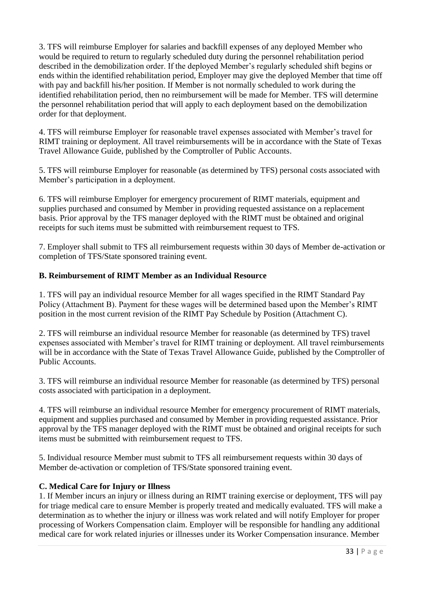3. TFS will reimburse Employer for salaries and backfill expenses of any deployed Member who would be required to return to regularly scheduled duty during the personnel rehabilitation period described in the demobilization order. If the deployed Member's regularly scheduled shift begins or ends within the identified rehabilitation period, Employer may give the deployed Member that time off with pay and backfill his/her position. If Member is not normally scheduled to work during the identified rehabilitation period, then no reimbursement will be made for Member. TFS will determine the personnel rehabilitation period that will apply to each deployment based on the demobilization order for that deployment.

4. TFS will reimburse Employer for reasonable travel expenses associated with Member's travel for RIMT training or deployment. All travel reimbursements will be in accordance with the State of Texas Travel Allowance Guide, published by the Comptroller of Public Accounts.

5. TFS will reimburse Employer for reasonable (as determined by TFS) personal costs associated with Member's participation in a deployment.

6. TFS will reimburse Employer for emergency procurement of RIMT materials, equipment and supplies purchased and consumed by Member in providing requested assistance on a replacement basis. Prior approval by the TFS manager deployed with the RIMT must be obtained and original receipts for such items must be submitted with reimbursement request to TFS.

7. Employer shall submit to TFS all reimbursement requests within 30 days of Member de-activation or completion of TFS/State sponsored training event.

#### **B. Reimbursement of RIMT Member as an Individual Resource**

1. TFS will pay an individual resource Member for all wages specified in the RIMT Standard Pay Policy (Attachment B). Payment for these wages will be determined based upon the Member's RIMT position in the most current revision of the RIMT Pay Schedule by Position (Attachment C).

2. TFS will reimburse an individual resource Member for reasonable (as determined by TFS) travel expenses associated with Member's travel for RIMT training or deployment. All travel reimbursements will be in accordance with the State of Texas Travel Allowance Guide, published by the Comptroller of Public Accounts.

3. TFS will reimburse an individual resource Member for reasonable (as determined by TFS) personal costs associated with participation in a deployment.

4. TFS will reimburse an individual resource Member for emergency procurement of RIMT materials, equipment and supplies purchased and consumed by Member in providing requested assistance. Prior approval by the TFS manager deployed with the RIMT must be obtained and original receipts for such items must be submitted with reimbursement request to TFS.

5. Individual resource Member must submit to TFS all reimbursement requests within 30 days of Member de-activation or completion of TFS/State sponsored training event.

### **C. Medical Care for Injury or Illness**

1. If Member incurs an injury or illness during an RIMT training exercise or deployment, TFS will pay for triage medical care to ensure Member is properly treated and medically evaluated. TFS will make a determination as to whether the injury or illness was work related and will notify Employer for proper processing of Workers Compensation claim. Employer will be responsible for handling any additional medical care for work related injuries or illnesses under its Worker Compensation insurance. Member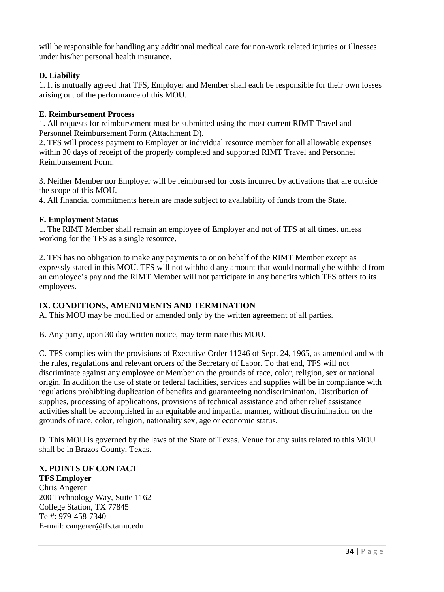will be responsible for handling any additional medical care for non-work related injuries or illnesses under his/her personal health insurance.

#### **D. Liability**

1. It is mutually agreed that TFS, Employer and Member shall each be responsible for their own losses arising out of the performance of this MOU.

#### **E. Reimbursement Process**

1. All requests for reimbursement must be submitted using the most current RIMT Travel and Personnel Reimbursement Form (Attachment D).

2. TFS will process payment to Employer or individual resource member for all allowable expenses within 30 days of receipt of the properly completed and supported RIMT Travel and Personnel Reimbursement Form.

3. Neither Member nor Employer will be reimbursed for costs incurred by activations that are outside the scope of this MOU.

4. All financial commitments herein are made subject to availability of funds from the State.

#### **F. Employment Status**

1. The RIMT Member shall remain an employee of Employer and not of TFS at all times, unless working for the TFS as a single resource.

2. TFS has no obligation to make any payments to or on behalf of the RIMT Member except as expressly stated in this MOU. TFS will not withhold any amount that would normally be withheld from an employee's pay and the RIMT Member will not participate in any benefits which TFS offers to its employees.

#### **IX. CONDITIONS, AMENDMENTS AND TERMINATION**

A. This MOU may be modified or amended only by the written agreement of all parties.

B. Any party, upon 30 day written notice, may terminate this MOU.

C. TFS complies with the provisions of Executive Order 11246 of Sept. 24, 1965, as amended and with the rules, regulations and relevant orders of the Secretary of Labor. To that end, TFS will not discriminate against any employee or Member on the grounds of race, color, religion, sex or national origin. In addition the use of state or federal facilities, services and supplies will be in compliance with regulations prohibiting duplication of benefits and guaranteeing nondiscrimination. Distribution of supplies, processing of applications, provisions of technical assistance and other relief assistance activities shall be accomplished in an equitable and impartial manner, without discrimination on the grounds of race, color, religion, nationality sex, age or economic status.

D. This MOU is governed by the laws of the State of Texas. Venue for any suits related to this MOU shall be in Brazos County, Texas.

#### **X. POINTS OF CONTACT**

**TFS Employer**  Chris Angerer 200 Technology Way, Suite 1162 College Station, TX 77845 Tel#: 979-458-7340 E-mail: cangerer@tfs.tamu.edu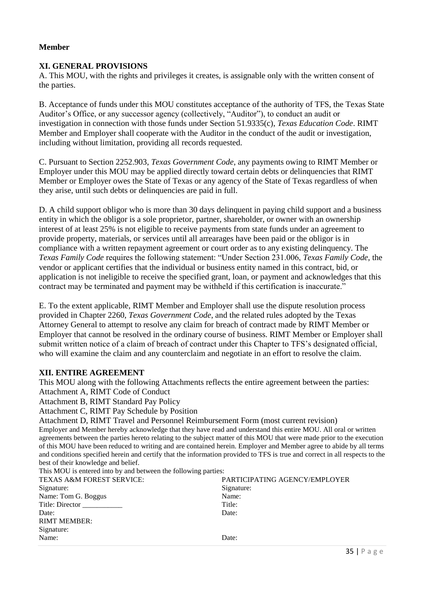#### **Member**

#### **XI. GENERAL PROVISIONS**

A. This MOU, with the rights and privileges it creates, is assignable only with the written consent of the parties.

B. Acceptance of funds under this MOU constitutes acceptance of the authority of TFS, the Texas State Auditor's Office, or any successor agency (collectively, "Auditor"), to conduct an audit or investigation in connection with those funds under Section 51.9335(c), *Texas Education Code*. RIMT Member and Employer shall cooperate with the Auditor in the conduct of the audit or investigation, including without limitation, providing all records requested.

C. Pursuant to Section 2252.903, *Texas Government Code*, any payments owing to RIMT Member or Employer under this MOU may be applied directly toward certain debts or delinquencies that RIMT Member or Employer owes the State of Texas or any agency of the State of Texas regardless of when they arise, until such debts or delinquencies are paid in full.

D. A child support obligor who is more than 30 days delinquent in paying child support and a business entity in which the obligor is a sole proprietor, partner, shareholder, or owner with an ownership interest of at least 25% is not eligible to receive payments from state funds under an agreement to provide property, materials, or services until all arrearages have been paid or the obligor is in compliance with a written repayment agreement or court order as to any existing delinquency. The *Texas Family Code* requires the following statement: "Under Section 231.006, *Texas Family Code*, the vendor or applicant certifies that the individual or business entity named in this contract, bid, or application is not ineligible to receive the specified grant, loan, or payment and acknowledges that this contract may be terminated and payment may be withheld if this certification is inaccurate."

E. To the extent applicable, RIMT Member and Employer shall use the dispute resolution process provided in Chapter 2260, *Texas Government Code*, and the related rules adopted by the Texas Attorney General to attempt to resolve any claim for breach of contract made by RIMT Member or Employer that cannot be resolved in the ordinary course of business. RIMT Member or Employer shall submit written notice of a claim of breach of contract under this Chapter to TFS's designated official, who will examine the claim and any counterclaim and negotiate in an effort to resolve the claim.

#### **XII. ENTIRE AGREEMENT**

This MOU along with the following Attachments reflects the entire agreement between the parties: Attachment A, RIMT Code of Conduct

Attachment B, RIMT Standard Pay Policy

Attachment C, RIMT Pay Schedule by Position

Attachment D, RIMT Travel and Personnel Reimbursement Form (most current revision) Employer and Member hereby acknowledge that they have read and understand this entire MOU. All oral or written agreements between the parties hereto relating to the subject matter of this MOU that were made prior to the execution of this MOU have been reduced to writing and are contained herein. Employer and Member agree to abide by all terms and conditions specified herein and certify that the information provided to TFS is true and correct in all respects to the best of their knowledge and belief.<br>This MOU is entered into by and between on the following p

| This MOU is entered into by and between the following parties. |                               |
|----------------------------------------------------------------|-------------------------------|
| <b>TEXAS A&amp;M FOREST SERVICE:</b>                           | PARTICIPATING AGENCY/EMPLOYER |
| Signature:                                                     | Signature:                    |
| Name: Tom G. Boggus                                            | Name:                         |
| Title: Director                                                | Title:                        |
| Date:                                                          | Date:                         |
| <b>RIMT MEMBER:</b>                                            |                               |
| Signature:                                                     |                               |
| Name:                                                          | Date:                         |
|                                                                |                               |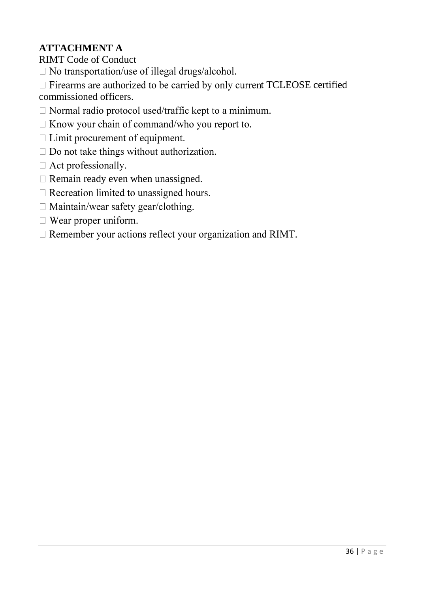# **ATTACHMENT A**

RIMT Code of Conduct

- $\Box$  No transportation/use of illegal drugs/alcohol.
- $\Box$  Firearms are authorized to be carried by only current TCLEOSE certified

commissioned officers.

- $\Box$  Normal radio protocol used/traffic kept to a minimum.
- $\Box$  Know your chain of command/who you report to.
- $\Box$  Limit procurement of equipment.
- $\Box$  Do not take things without authorization.
- $\Box$  Act professionally.
- $\Box$  Remain ready even when unassigned.
- $\Box$  Recreation limited to unassigned hours.
- $\Box$  Maintain/wear safety gear/clothing.
- $\Box$  Wear proper uniform.
- □ Remember your actions reflect your organization and RIMT.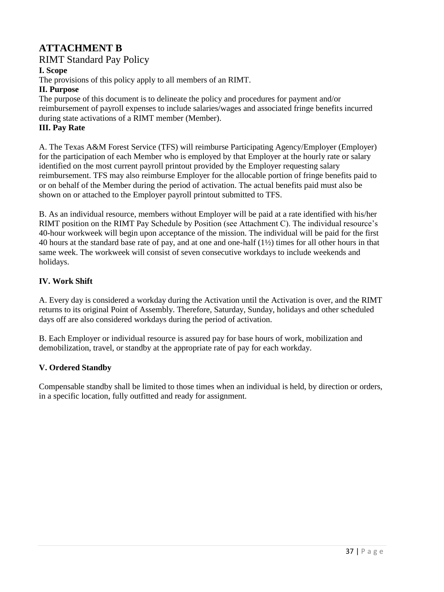## **ATTACHMENT B**

RIMT Standard Pay Policy

#### **I. Scope**

The provisions of this policy apply to all members of an RIMT.

#### **II. Purpose**

The purpose of this document is to delineate the policy and procedures for payment and/or reimbursement of payroll expenses to include salaries/wages and associated fringe benefits incurred during state activations of a RIMT member (Member).

#### **III. Pay Rate**

A. The Texas A&M Forest Service (TFS) will reimburse Participating Agency/Employer (Employer) for the participation of each Member who is employed by that Employer at the hourly rate or salary identified on the most current payroll printout provided by the Employer requesting salary reimbursement. TFS may also reimburse Employer for the allocable portion of fringe benefits paid to or on behalf of the Member during the period of activation. The actual benefits paid must also be shown on or attached to the Employer payroll printout submitted to TFS.

B. As an individual resource, members without Employer will be paid at a rate identified with his/her RIMT position on the RIMT Pay Schedule by Position (see Attachment C). The individual resource's 40-hour workweek will begin upon acceptance of the mission. The individual will be paid for the first 40 hours at the standard base rate of pay, and at one and one-half (1½) times for all other hours in that same week. The workweek will consist of seven consecutive workdays to include weekends and holidays.

#### **IV. Work Shift**

A. Every day is considered a workday during the Activation until the Activation is over, and the RIMT returns to its original Point of Assembly. Therefore, Saturday, Sunday, holidays and other scheduled days off are also considered workdays during the period of activation.

B. Each Employer or individual resource is assured pay for base hours of work, mobilization and demobilization, travel, or standby at the appropriate rate of pay for each workday.

### **V. Ordered Standby**

Compensable standby shall be limited to those times when an individual is held, by direction or orders, in a specific location, fully outfitted and ready for assignment.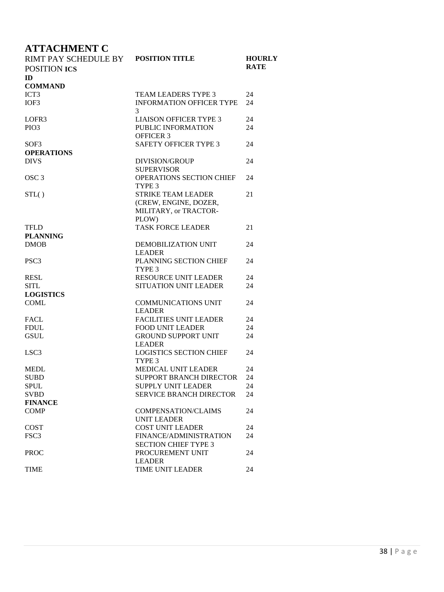# **ATTACHMENT C**

| RIMT PAY SCHEDULE BY | <b>POSITION TITLE</b>             | <b>HOURLY</b> |
|----------------------|-----------------------------------|---------------|
| <b>POSITION ICS</b>  |                                   | <b>RATE</b>   |
| ID                   |                                   |               |
| <b>COMMAND</b>       |                                   |               |
| ICT <sub>3</sub>     | <b>TEAM LEADERS TYPE 3</b>        | 24            |
| IOF3                 | <b>INFORMATION OFFICER TYPE</b>   | 24            |
|                      | 3                                 |               |
| LOFR <sub>3</sub>    | <b>LIAISON OFFICER TYPE 3</b>     | 24            |
| PIO <sub>3</sub>     | PUBLIC INFORMATION                | 24            |
|                      | <b>OFFICER 3</b>                  |               |
| SOF3                 | <b>SAFETY OFFICER TYPE 3</b>      | 24            |
| <b>OPERATIONS</b>    |                                   |               |
| <b>DIVS</b>          | <b>DIVISION/GROUP</b>             | 24            |
|                      | <b>SUPERVISOR</b>                 |               |
| OSC <sub>3</sub>     | OPERATIONS SECTION CHIEF          | 24            |
|                      | TYPE 3                            |               |
| STL()                | <b>STRIKE TEAM LEADER</b>         | 21            |
|                      | (CREW, ENGINE, DOZER,             |               |
|                      | MILITARY, or TRACTOR-             |               |
|                      | PLOW)                             |               |
| <b>TFLD</b>          | <b>TASK FORCE LEADER</b>          | 21            |
| <b>PLANNING</b>      |                                   |               |
| <b>DMOB</b>          | DEMOBILIZATION UNIT               | 24            |
|                      | <b>LEADER</b>                     |               |
| PSC <sub>3</sub>     | PLANNING SECTION CHIEF            | 24            |
|                      | TYPE 3                            |               |
| <b>RESL</b>          | <b>RESOURCE UNIT LEADER</b>       | 24            |
| <b>SITL</b>          | <b>SITUATION UNIT LEADER</b>      | 24            |
| <b>LOGISTICS</b>     |                                   |               |
| <b>COML</b>          | <b>COMMUNICATIONS UNIT</b>        | 24            |
|                      | <b>LEADER</b>                     |               |
| <b>FACL</b>          | <b>FACILITIES UNIT LEADER</b>     | 24            |
| <b>FDUL</b>          | <b>FOOD UNIT LEADER</b>           | 24            |
| <b>GSUL</b>          | <b>GROUND SUPPORT UNIT</b>        | 24            |
|                      | <b>LEADER</b>                     |               |
| LSC <sub>3</sub>     | <b>LOGISTICS SECTION CHIEF</b>    | 24            |
|                      | TYPE <sub>3</sub>                 |               |
| <b>MEDL</b>          | MEDICAL UNIT LEADER               | 24            |
| <b>SUBD</b>          | SUPPORT BRANCH DIRECTOR           | 24            |
| <b>SPUL</b>          | <b>SUPPLY UNIT LEADER</b>         | 24            |
| <b>SVBD</b>          | <b>SERVICE BRANCH DIRECTOR</b>    | 24            |
| <b>FINANCE</b>       |                                   |               |
| <b>COMP</b>          | <b>COMPENSATION/CLAIMS</b>        | 24            |
|                      | <b>UNIT LEADER</b>                |               |
| <b>COST</b>          | <b>COST UNIT LEADER</b>           | 24            |
| FSC <sub>3</sub>     | FINANCE/ADMINISTRATION            | 24            |
|                      | <b>SECTION CHIEF TYPE 3</b>       |               |
| <b>PROC</b>          | PROCUREMENT UNIT<br><b>LEADER</b> | 24            |
| <b>TIME</b>          | TIME UNIT LEADER                  | 24            |
|                      |                                   |               |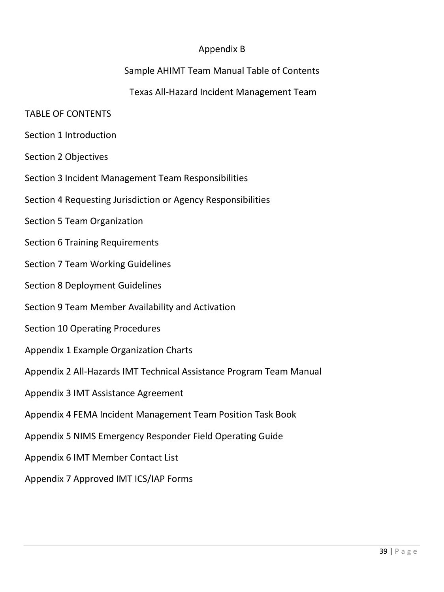## Appendix B

## Sample AHIMT Team Manual Table of Contents

## Texas All-Hazard Incident Management Team

### TABLE OF CONTENTS

- Section 1 Introduction
- Section 2 Objectives
- Section 3 Incident Management Team Responsibilities
- Section 4 Requesting Jurisdiction or Agency Responsibilities
- Section 5 Team Organization
- Section 6 Training Requirements
- Section 7 Team Working Guidelines
- Section 8 Deployment Guidelines
- Section 9 Team Member Availability and Activation
- Section 10 Operating Procedures
- Appendix 1 Example Organization Charts
- Appendix 2 All-Hazards IMT Technical Assistance Program Team Manual
- Appendix 3 IMT Assistance Agreement
- Appendix 4 FEMA Incident Management Team Position Task Book
- Appendix 5 NIMS Emergency Responder Field Operating Guide
- Appendix 6 IMT Member Contact List
- Appendix 7 Approved IMT ICS/IAP Forms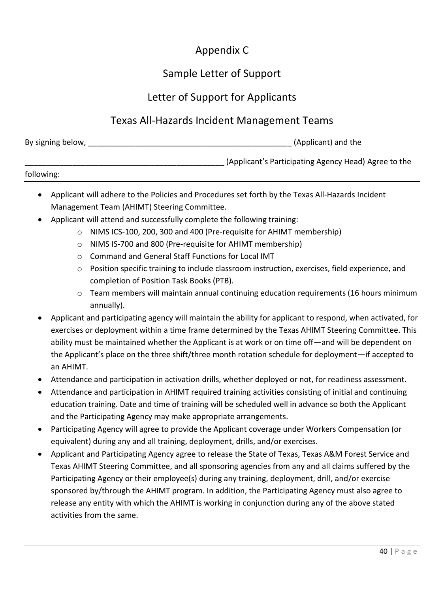# Appendix C

# Sample Letter of Support

## Letter of Support for Applicants

## Texas All-Hazards Incident Management Teams

| By signing below, | (Applicant) and the |
|-------------------|---------------------|
|                   |                     |

|            | (Applicant's Participating Agency Head) Agree to the |
|------------|------------------------------------------------------|
| following: |                                                      |

| Applicant will adhere to the Policies and Procedures set forth by the Texas All-Hazards Incident |
|--------------------------------------------------------------------------------------------------|
| Management Team (AHIMT) Steering Committee.                                                      |

- Applicant will attend and successfully complete the following training:
	- o NIMS ICS-100, 200, 300 and 400 (Pre-requisite for AHIMT membership)
	- o NIMS IS-700 and 800 (Pre-requisite for AHIMT membership)
	- o Command and General Staff Functions for Local IMT
	- o Position specific training to include classroom instruction, exercises, field experience, and completion of Position Task Books (PTB).
	- $\circ$  Team members will maintain annual continuing education requirements (16 hours minimum annually).
- Applicant and participating agency will maintain the ability for applicant to respond, when activated, for exercises or deployment within a time frame determined by the Texas AHIMT Steering Committee. This ability must be maintained whether the Applicant is at work or on time off—and will be dependent on the Applicant's place on the three shift/three month rotation schedule for deployment—if accepted to an AHIMT.
- Attendance and participation in activation drills, whether deployed or not, for readiness assessment.
- Attendance and participation in AHIMT required training activities consisting of initial and continuing education training. Date and time of training will be scheduled well in advance so both the Applicant and the Participating Agency may make appropriate arrangements.
- Participating Agency will agree to provide the Applicant coverage under Workers Compensation (or equivalent) during any and all training, deployment, drills, and/or exercises.
- Applicant and Participating Agency agree to release the State of Texas, Texas A&M Forest Service and Texas AHIMT Steering Committee, and all sponsoring agencies from any and all claims suffered by the Participating Agency or their employee(s) during any training, deployment, drill, and/or exercise sponsored by/through the AHIMT program. In addition, the Participating Agency must also agree to release any entity with which the AHIMT is working in conjunction during any of the above stated activities from the same.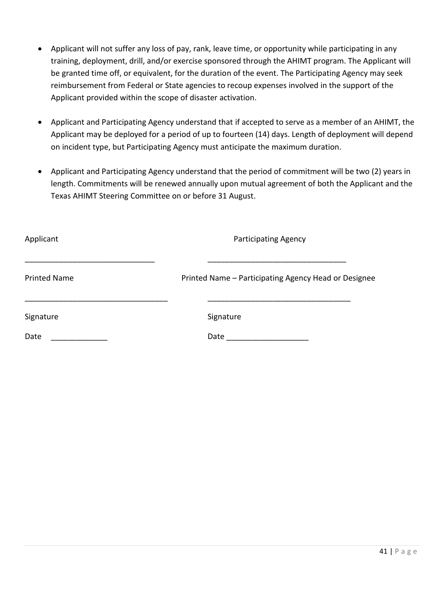- Applicant will not suffer any loss of pay, rank, leave time, or opportunity while participating in any training, deployment, drill, and/or exercise sponsored through the AHIMT program. The Applicant will be granted time off, or equivalent, for the duration of the event. The Participating Agency may seek reimbursement from Federal or State agencies to recoup expenses involved in the support of the Applicant provided within the scope of disaster activation.
- Applicant and Participating Agency understand that if accepted to serve as a member of an AHIMT, the Applicant may be deployed for a period of up to fourteen (14) days. Length of deployment will depend on incident type, but Participating Agency must anticipate the maximum duration.
- Applicant and Participating Agency understand that the period of commitment will be two (2) years in length. Commitments will be renewed annually upon mutual agreement of both the Applicant and the Texas AHIMT Steering Committee on or before 31 August.

| Applicant           | <b>Participating Agency</b>                          |
|---------------------|------------------------------------------------------|
| <b>Printed Name</b> | Printed Name - Participating Agency Head or Designee |
| Signature           | Signature                                            |
| Date                | Date                                                 |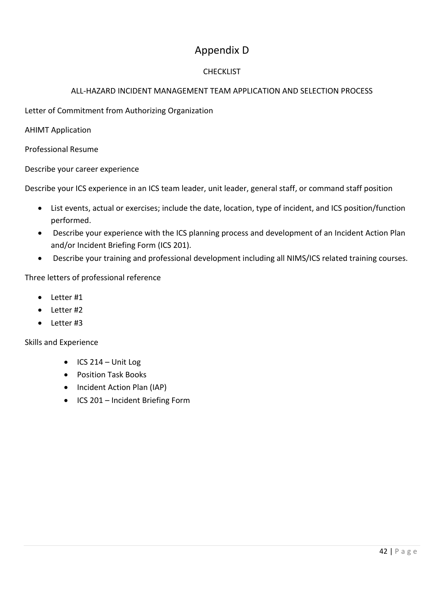# Appendix D

### **CHECKLIST**

### ALL-HAZARD INCIDENT MANAGEMENT TEAM APPLICATION AND SELECTION PROCESS

Letter of Commitment from Authorizing Organization

AHIMT Application

Professional Resume

Describe your career experience

Describe your ICS experience in an ICS team leader, unit leader, general staff, or command staff position

- List events, actual or exercises; include the date, location, type of incident, and ICS position/function performed.
- Describe your experience with the ICS planning process and development of an Incident Action Plan and/or Incident Briefing Form (ICS 201).
- Describe your training and professional development including all NIMS/ICS related training courses.

Three letters of professional reference

- Letter #1
- Letter #2
- Letter #3

Skills and Experience

- $\bullet$  ICS 214 Unit Log
- Position Task Books
- Incident Action Plan (IAP)
- ICS 201 Incident Briefing Form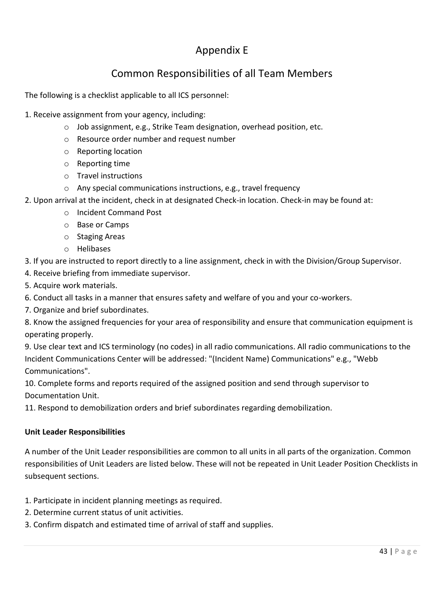# Appendix E

# Common Responsibilities of all Team Members

The following is a checklist applicable to all ICS personnel:

1. Receive assignment from your agency, including:

- o Job assignment, e.g., Strike Team designation, overhead position, etc.
- o Resource order number and request number
- o Reporting location
- o Reporting time
- o Travel instructions
- o Any special communications instructions, e.g., travel frequency
- 2. Upon arrival at the incident, check in at designated Check-in location. Check-in may be found at:
	- o Incident Command Post
	- o Base or Camps
	- o Staging Areas
	- o Helibases

3. If you are instructed to report directly to a line assignment, check in with the Division/Group Supervisor.

- 4. Receive briefing from immediate supervisor.
- 5. Acquire work materials.
- 6. Conduct all tasks in a manner that ensures safety and welfare of you and your co-workers.
- 7. Organize and brief subordinates.

8. Know the assigned frequencies for your area of responsibility and ensure that communication equipment is operating properly.

9. Use clear text and ICS terminology (no codes) in all radio communications. All radio communications to the Incident Communications Center will be addressed: "(Incident Name) Communications" e.g., "Webb Communications".

10. Complete forms and reports required of the assigned position and send through supervisor to Documentation Unit.

11. Respond to demobilization orders and brief subordinates regarding demobilization.

### **Unit Leader Responsibilities**

A number of the Unit Leader responsibilities are common to all units in all parts of the organization. Common responsibilities of Unit Leaders are listed below. These will not be repeated in Unit Leader Position Checklists in subsequent sections.

- 1. Participate in incident planning meetings as required.
- 2. Determine current status of unit activities.
- 3. Confirm dispatch and estimated time of arrival of staff and supplies.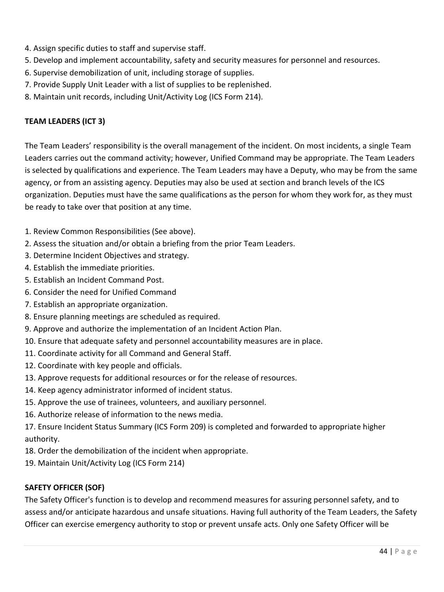- 4. Assign specific duties to staff and supervise staff.
- 5. Develop and implement accountability, safety and security measures for personnel and resources.
- 6. Supervise demobilization of unit, including storage of supplies.
- 7. Provide Supply Unit Leader with a list of supplies to be replenished.
- 8. Maintain unit records, including Unit/Activity Log (ICS Form 214).

### **TEAM LEADERS (ICT 3)**

The Team Leaders' responsibility is the overall management of the incident. On most incidents, a single Team Leaders carries out the command activity; however, Unified Command may be appropriate. The Team Leaders is selected by qualifications and experience. The Team Leaders may have a Deputy, who may be from the same agency, or from an assisting agency. Deputies may also be used at section and branch levels of the ICS organization. Deputies must have the same qualifications as the person for whom they work for, as they must be ready to take over that position at any time.

- 1. Review Common Responsibilities (See above).
- 2. Assess the situation and/or obtain a briefing from the prior Team Leaders.
- 3. Determine Incident Objectives and strategy.
- 4. Establish the immediate priorities.
- 5. Establish an Incident Command Post.
- 6. Consider the need for Unified Command
- 7. Establish an appropriate organization.
- 8. Ensure planning meetings are scheduled as required.
- 9. Approve and authorize the implementation of an Incident Action Plan.
- 10. Ensure that adequate safety and personnel accountability measures are in place.
- 11. Coordinate activity for all Command and General Staff.
- 12. Coordinate with key people and officials.
- 13. Approve requests for additional resources or for the release of resources.
- 14. Keep agency administrator informed of incident status.
- 15. Approve the use of trainees, volunteers, and auxiliary personnel.
- 16. Authorize release of information to the news media.

17. Ensure Incident Status Summary (ICS Form 209) is completed and forwarded to appropriate higher authority.

- 18. Order the demobilization of the incident when appropriate.
- 19. Maintain Unit/Activity Log (ICS Form 214)

### **SAFETY OFFICER (SOF)**

The Safety Officer's function is to develop and recommend measures for assuring personnel safety, and to assess and/or anticipate hazardous and unsafe situations. Having full authority of the Team Leaders, the Safety Officer can exercise emergency authority to stop or prevent unsafe acts. Only one Safety Officer will be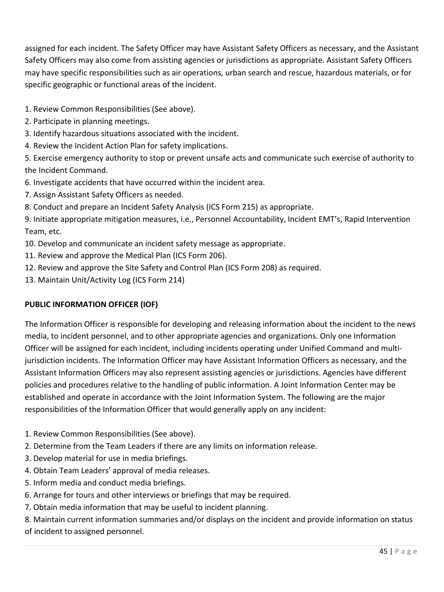assigned for each incident. The Safety Officer may have Assistant Safety Officers as necessary, and the Assistant Safety Officers may also come from assisting agencies or jurisdictions as appropriate. Assistant Safety Officers may have specific responsibilities such as air operations, urban search and rescue, hazardous materials, or for specific geographic or functional areas of the incident.

- 1. Review Common Responsibilities (See above).
- 2. Participate in planning meetings.
- 3. Identify hazardous situations associated with the incident.
- 4. Review the Incident Action Plan for safety implications.

5. Exercise emergency authority to stop or prevent unsafe acts and communicate such exercise of authority to the Incident Command.

- 6. Investigate accidents that have occurred within the incident area.
- 7. Assign Assistant Safety Officers as needed.
- 8. Conduct and prepare an Incident Safety Analysis (ICS Form 215) as appropriate.

9. Initiate appropriate mitigation measures, i.e., Personnel Accountability, Incident EMT's, Rapid Intervention Team, etc.

- 10. Develop and communicate an incident safety message as appropriate.
- 11. Review and approve the Medical Plan (ICS Form 206).
- 12. Review and approve the Site Safety and Control Plan (ICS Form 208) as required.
- 13. Maintain Unit/Activity Log (ICS Form 214)

### **PUBLIC INFORMATION OFFICER (IOF)**

The Information Officer is responsible for developing and releasing information about the incident to the news media, to incident personnel, and to other appropriate agencies and organizations. Only one Information Officer will be assigned for each incident, including incidents operating under Unified Command and multijurisdiction incidents. The Information Officer may have Assistant Information Officers as necessary, and the Assistant Information Officers may also represent assisting agencies or jurisdictions. Agencies have different policies and procedures relative to the handling of public information. A Joint Information Center may be established and operate in accordance with the Joint Information System. The following are the major responsibilities of the Information Officer that would generally apply on any incident:

- 1. Review Common Responsibilities (See above).
- 2. Determine from the Team Leaders if there are any limits on information release.
- 3. Develop material for use in media briefings.
- 4. Obtain Team Leaders' approval of media releases.
- 5. Inform media and conduct media briefings.
- 6. Arrange for tours and other interviews or briefings that may be required.
- 7. Obtain media information that may be useful to incident planning.

8. Maintain current information summaries and/or displays on the incident and provide information on status of incident to assigned personnel.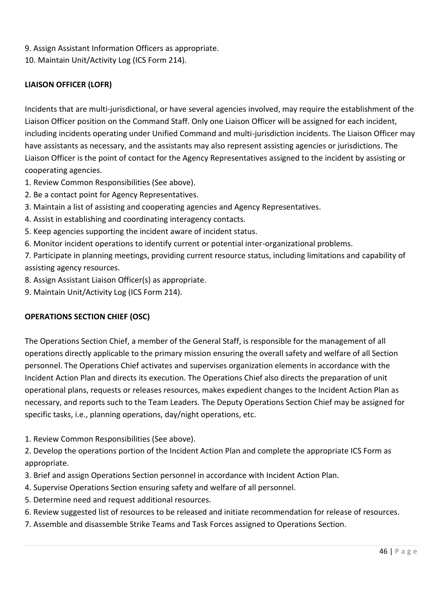9. Assign Assistant Information Officers as appropriate.

10. Maintain Unit/Activity Log (ICS Form 214).

### **LIAISON OFFICER (LOFR)**

Incidents that are multi-jurisdictional, or have several agencies involved, may require the establishment of the Liaison Officer position on the Command Staff. Only one Liaison Officer will be assigned for each incident, including incidents operating under Unified Command and multi-jurisdiction incidents. The Liaison Officer may have assistants as necessary, and the assistants may also represent assisting agencies or jurisdictions. The Liaison Officer is the point of contact for the Agency Representatives assigned to the incident by assisting or cooperating agencies.

1. Review Common Responsibilities (See above).

- 2. Be a contact point for Agency Representatives.
- 3. Maintain a list of assisting and cooperating agencies and Agency Representatives.
- 4. Assist in establishing and coordinating interagency contacts.
- 5. Keep agencies supporting the incident aware of incident status.
- 6. Monitor incident operations to identify current or potential inter-organizational problems.

7. Participate in planning meetings, providing current resource status, including limitations and capability of assisting agency resources.

- 8. Assign Assistant Liaison Officer(s) as appropriate.
- 9. Maintain Unit/Activity Log (ICS Form 214).

### **OPERATIONS SECTION CHIEF (OSC)**

The Operations Section Chief, a member of the General Staff, is responsible for the management of all operations directly applicable to the primary mission ensuring the overall safety and welfare of all Section personnel. The Operations Chief activates and supervises organization elements in accordance with the Incident Action Plan and directs its execution. The Operations Chief also directs the preparation of unit operational plans, requests or releases resources, makes expedient changes to the Incident Action Plan as necessary, and reports such to the Team Leaders. The Deputy Operations Section Chief may be assigned for specific tasks, i.e., planning operations, day/night operations, etc.

1. Review Common Responsibilities (See above).

2. Develop the operations portion of the Incident Action Plan and complete the appropriate ICS Form as appropriate.

- 3. Brief and assign Operations Section personnel in accordance with Incident Action Plan.
- 4. Supervise Operations Section ensuring safety and welfare of all personnel.
- 5. Determine need and request additional resources.
- 6. Review suggested list of resources to be released and initiate recommendation for release of resources.
- 7. Assemble and disassemble Strike Teams and Task Forces assigned to Operations Section.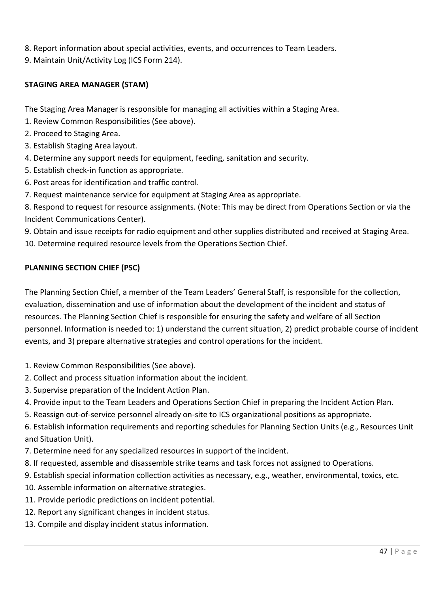- 8. Report information about special activities, events, and occurrences to Team Leaders.
- 9. Maintain Unit/Activity Log (ICS Form 214).

#### **STAGING AREA MANAGER (STAM)**

The Staging Area Manager is responsible for managing all activities within a Staging Area.

- 1. Review Common Responsibilities (See above).
- 2. Proceed to Staging Area.
- 3. Establish Staging Area layout.
- 4. Determine any support needs for equipment, feeding, sanitation and security.
- 5. Establish check-in function as appropriate.
- 6. Post areas for identification and traffic control.
- 7. Request maintenance service for equipment at Staging Area as appropriate.

8. Respond to request for resource assignments. (Note: This may be direct from Operations Section or via the Incident Communications Center).

9. Obtain and issue receipts for radio equipment and other supplies distributed and received at Staging Area.

10. Determine required resource levels from the Operations Section Chief.

### **PLANNING SECTION CHIEF (PSC)**

The Planning Section Chief, a member of the Team Leaders' General Staff, is responsible for the collection, evaluation, dissemination and use of information about the development of the incident and status of resources. The Planning Section Chief is responsible for ensuring the safety and welfare of all Section personnel. Information is needed to: 1) understand the current situation, 2) predict probable course of incident events, and 3) prepare alternative strategies and control operations for the incident.

- 1. Review Common Responsibilities (See above).
- 2. Collect and process situation information about the incident.
- 3. Supervise preparation of the Incident Action Plan.
- 4. Provide input to the Team Leaders and Operations Section Chief in preparing the Incident Action Plan.
- 5. Reassign out-of-service personnel already on-site to ICS organizational positions as appropriate.

6. Establish information requirements and reporting schedules for Planning Section Units (e.g., Resources Unit and Situation Unit).

- 7. Determine need for any specialized resources in support of the incident.
- 8. If requested, assemble and disassemble strike teams and task forces not assigned to Operations.
- 9. Establish special information collection activities as necessary, e.g., weather, environmental, toxics, etc.
- 10. Assemble information on alternative strategies.
- 11. Provide periodic predictions on incident potential.
- 12. Report any significant changes in incident status.
- 13. Compile and display incident status information.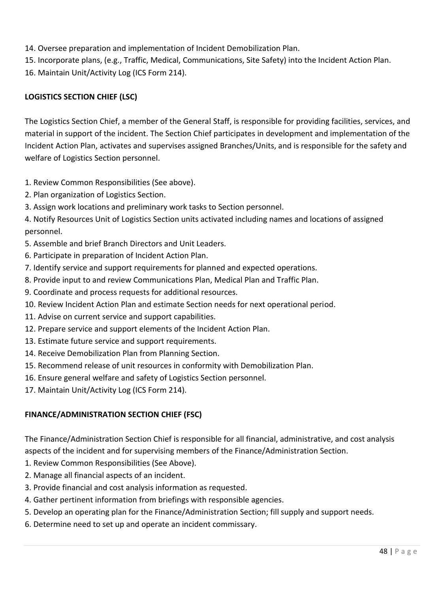- 14. Oversee preparation and implementation of Incident Demobilization Plan.
- 15. Incorporate plans, (e.g., Traffic, Medical, Communications, Site Safety) into the Incident Action Plan.
- 16. Maintain Unit/Activity Log (ICS Form 214).

### **LOGISTICS SECTION CHIEF (LSC)**

The Logistics Section Chief, a member of the General Staff, is responsible for providing facilities, services, and material in support of the incident. The Section Chief participates in development and implementation of the Incident Action Plan, activates and supervises assigned Branches/Units, and is responsible for the safety and welfare of Logistics Section personnel.

- 1. Review Common Responsibilities (See above).
- 2. Plan organization of Logistics Section.
- 3. Assign work locations and preliminary work tasks to Section personnel.

4. Notify Resources Unit of Logistics Section units activated including names and locations of assigned personnel.

- 5. Assemble and brief Branch Directors and Unit Leaders.
- 6. Participate in preparation of Incident Action Plan.
- 7. Identify service and support requirements for planned and expected operations.
- 8. Provide input to and review Communications Plan, Medical Plan and Traffic Plan.
- 9. Coordinate and process requests for additional resources.
- 10. Review Incident Action Plan and estimate Section needs for next operational period.
- 11. Advise on current service and support capabilities.
- 12. Prepare service and support elements of the Incident Action Plan.
- 13. Estimate future service and support requirements.
- 14. Receive Demobilization Plan from Planning Section.
- 15. Recommend release of unit resources in conformity with Demobilization Plan.
- 16. Ensure general welfare and safety of Logistics Section personnel.
- 17. Maintain Unit/Activity Log (ICS Form 214).

### **FINANCE/ADMINISTRATION SECTION CHIEF (FSC)**

The Finance/Administration Section Chief is responsible for all financial, administrative, and cost analysis aspects of the incident and for supervising members of the Finance/Administration Section.

- 1. Review Common Responsibilities (See Above).
- 2. Manage all financial aspects of an incident.
- 3. Provide financial and cost analysis information as requested.
- 4. Gather pertinent information from briefings with responsible agencies.
- 5. Develop an operating plan for the Finance/Administration Section; fill supply and support needs.
- 6. Determine need to set up and operate an incident commissary.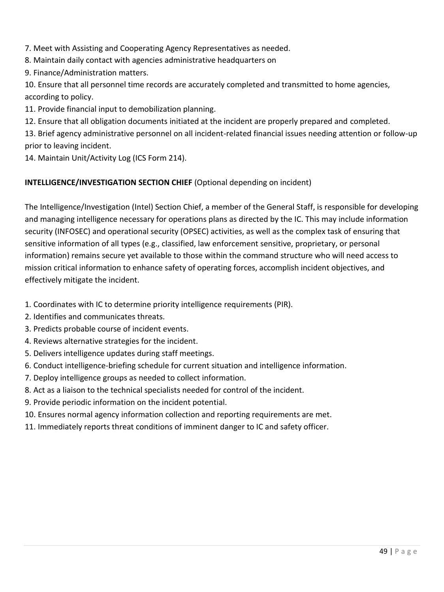7. Meet with Assisting and Cooperating Agency Representatives as needed.

- 8. Maintain daily contact with agencies administrative headquarters on
- 9. Finance/Administration matters.

10. Ensure that all personnel time records are accurately completed and transmitted to home agencies, according to policy.

11. Provide financial input to demobilization planning.

12. Ensure that all obligation documents initiated at the incident are properly prepared and completed.

13. Brief agency administrative personnel on all incident-related financial issues needing attention or follow-up prior to leaving incident.

14. Maintain Unit/Activity Log (ICS Form 214).

### **INTELLIGENCE/INVESTIGATION SECTION CHIEF** (Optional depending on incident)

The Intelligence/Investigation (Intel) Section Chief, a member of the General Staff, is responsible for developing and managing intelligence necessary for operations plans as directed by the IC. This may include information security (INFOSEC) and operational security (OPSEC) activities, as well as the complex task of ensuring that sensitive information of all types (e.g., classified, law enforcement sensitive, proprietary, or personal information) remains secure yet available to those within the command structure who will need access to mission critical information to enhance safety of operating forces, accomplish incident objectives, and effectively mitigate the incident.

- 1. Coordinates with IC to determine priority intelligence requirements (PIR).
- 2. Identifies and communicates threats.
- 3. Predicts probable course of incident events.
- 4. Reviews alternative strategies for the incident.
- 5. Delivers intelligence updates during staff meetings.
- 6. Conduct intelligence-briefing schedule for current situation and intelligence information.
- 7. Deploy intelligence groups as needed to collect information.
- 8. Act as a liaison to the technical specialists needed for control of the incident.
- 9. Provide periodic information on the incident potential.
- 10. Ensures normal agency information collection and reporting requirements are met.
- 11. Immediately reports threat conditions of imminent danger to IC and safety officer.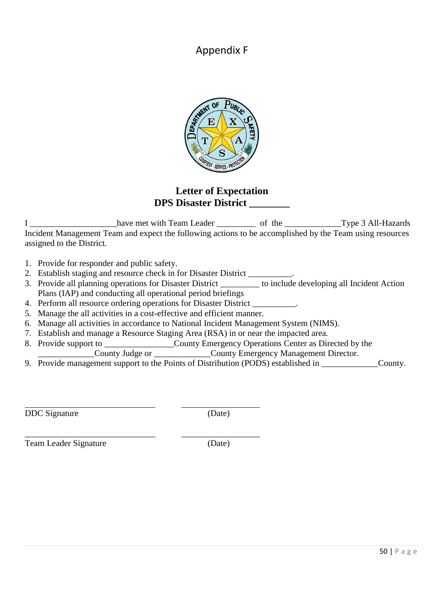Appendix F



## **Letter of Expectation DPS Disaster District \_\_\_\_\_\_\_\_**

I \_\_\_\_\_\_\_\_\_\_\_\_\_\_\_\_\_\_\_\_have met with Team Leader \_\_\_\_\_\_\_\_\_ of the \_\_\_\_\_\_\_\_\_\_\_\_\_Type 3 All-Hazards Incident Management Team and expect the following actions to be accomplished by the Team using resources assigned to the District.

1. Provide for responder and public safety.

- 2. Establish staging and resource check in for Disaster District \_\_\_\_\_\_\_\_\_\_.
- 3. Provide all planning operations for Disaster District to include developing all Incident Action Plans (IAP) and conducting all operational period briefings
- 4. Perform all resource ordering operations for Disaster District  $\blacksquare$
- 5. Manage the all activities in a cost-effective and efficient manner.
- 6. Manage all activities in accordance to National Incident Management System (NIMS).
- 7. Establish and manage a Resource Staging Area (RSA) in or near the impacted area.
- 8. Provide support to \_\_\_\_\_\_\_\_\_\_\_\_\_\_\_\_County Emergency Operations Center as Directed by the
- \_\_\_\_\_\_\_\_\_\_\_\_\_County Judge or \_\_\_\_\_\_\_\_\_\_\_\_\_County Emergency Management Director.
- 9. Provide management support to the Points of Distribution (PODS) established in \_\_\_\_\_\_\_\_\_\_\_\_\_\_\_\_\_\_\_\_\_\_\_\_\_\_\_\_

DDC Signature (Date)

\_\_\_\_\_\_\_\_\_\_\_\_\_\_\_\_\_\_\_\_\_\_\_\_\_\_\_\_\_\_ \_\_\_\_\_\_\_\_\_\_\_\_\_\_\_\_\_\_ Team Leader Signature (Date)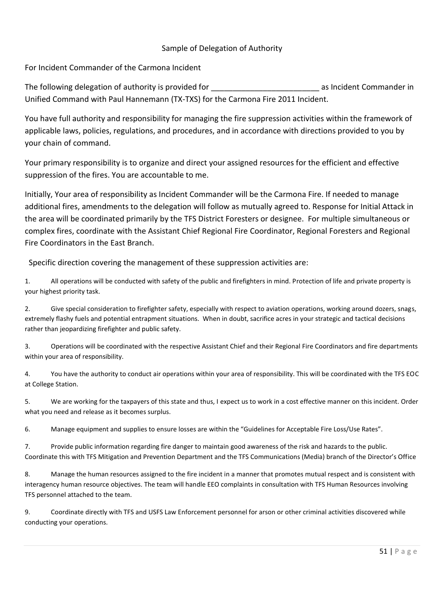#### Sample of Delegation of Authority

For Incident Commander of the Carmona Incident

The following delegation of authority is provided for **The incontant Commander in** as Incident Commander in Unified Command with Paul Hannemann (TX-TXS) for the Carmona Fire 2011 Incident.

You have full authority and responsibility for managing the fire suppression activities within the framework of applicable laws, policies, regulations, and procedures, and in accordance with directions provided to you by your chain of command.

Your primary responsibility is to organize and direct your assigned resources for the efficient and effective suppression of the fires. You are accountable to me.

Initially, Your area of responsibility as Incident Commander will be the Carmona Fire. If needed to manage additional fires, amendments to the delegation will follow as mutually agreed to. Response for Initial Attack in the area will be coordinated primarily by the TFS District Foresters or designee. For multiple simultaneous or complex fires, coordinate with the Assistant Chief Regional Fire Coordinator, Regional Foresters and Regional Fire Coordinators in the East Branch.

Specific direction covering the management of these suppression activities are:

1. All operations will be conducted with safety of the public and firefighters in mind. Protection of life and private property is your highest priority task.

2. Give special consideration to firefighter safety, especially with respect to aviation operations, working around dozers, snags, extremely flashy fuels and potential entrapment situations. When in doubt, sacrifice acres in your strategic and tactical decisions rather than jeopardizing firefighter and public safety.

3. Operations will be coordinated with the respective Assistant Chief and their Regional Fire Coordinators and fire departments within your area of responsibility.

4. You have the authority to conduct air operations within your area of responsibility. This will be coordinated with the TFS EOC at College Station.

5. We are working for the taxpayers of this state and thus, I expect us to work in a cost effective manner on this incident. Order what you need and release as it becomes surplus.

6. Manage equipment and supplies to ensure losses are within the "Guidelines for Acceptable Fire Loss/Use Rates".

7. Provide public information regarding fire danger to maintain good awareness of the risk and hazards to the public. Coordinate this with TFS Mitigation and Prevention Department and the TFS Communications (Media) branch of the Director's Office

8. Manage the human resources assigned to the fire incident in a manner that promotes mutual respect and is consistent with interagency human resource objectives. The team will handle EEO complaints in consultation with TFS Human Resources involving TFS personnel attached to the team.

9. Coordinate directly with TFS and USFS Law Enforcement personnel for arson or other criminal activities discovered while conducting your operations.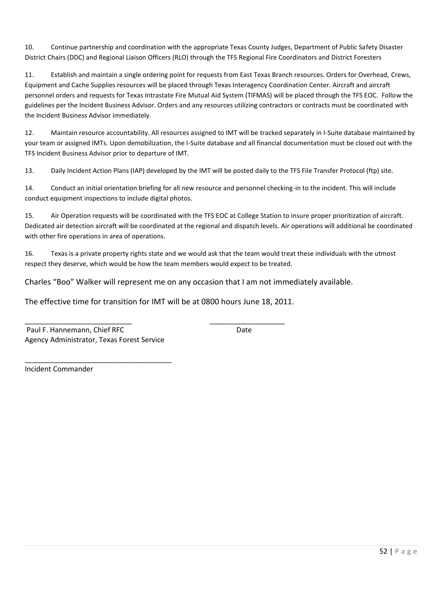10. Continue partnership and coordination with the appropriate Texas County Judges, Department of Public Safety Disaster District Chairs (DDC) and Regional Liaison Officers (RLO) through the TFS Regional Fire Coordinators and District Foresters

11. Establish and maintain a single ordering point for requests from East Texas Branch resources. Orders for Overhead, Crews, Equipment and Cache Supplies resources will be placed through Texas Interagency Coordination Center. Aircraft and aircraft personnel orders and requests for Texas Intrastate Fire Mutual Aid System (TIFMAS) will be placed through the TFS EOC. Follow the guidelines per the Incident Business Advisor. Orders and any resources utilizing contractors or contracts must be coordinated with the Incident Business Advisor immediately.

12. Maintain resource accountability. All resources assigned to IMT will be tracked separately in I-Suite database maintained by your team or assigned IMTs. Upon demobilization, the I-Suite database and all financial documentation must be closed out with the TFS Incident Business Advisor prior to departure of IMT.

13. Daily Incident Action Plans (IAP) developed by the IMT will be posted daily to the TFS File Transfer Protocol (ftp) site.

14. Conduct an initial orientation briefing for all new resource and personnel checking-in to the incident. This will include conduct equipment inspections to include digital photos.

15. Air Operation requests will be coordinated with the TFS EOC at College Station to insure proper prioritization of aircraft. Dedicated air detection aircraft will be coordinated at the regional and dispatch levels. Air operations will additional be coordinated with other fire operations in area of operations.

16. Texas is a private property rights state and we would ask that the team would treat these individuals with the utmost respect they deserve, which would be how the team members would expect to be treated.

Charles "Boo" Walker will represent me on any occasion that I am not immediately available.

The effective time for transition for IMT will be at 0800 hours June 18, 2011.

\_\_\_\_\_\_\_\_\_\_\_\_\_\_\_\_\_\_\_\_\_\_\_\_\_\_\_ \_\_\_\_\_\_\_\_\_\_\_\_\_\_\_\_\_\_\_ Paul F. Hannemann, Chief RFC Date Agency Administrator, Texas Forest Service

\_\_\_\_\_\_\_\_\_\_\_\_\_\_\_\_\_\_\_\_\_\_\_\_\_\_\_\_\_\_\_\_\_\_\_\_\_

Incident Commander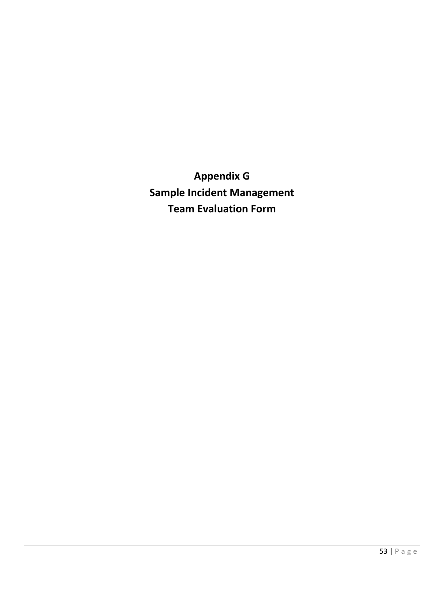**Appendix G Sample Incident Management Team Evaluation Form**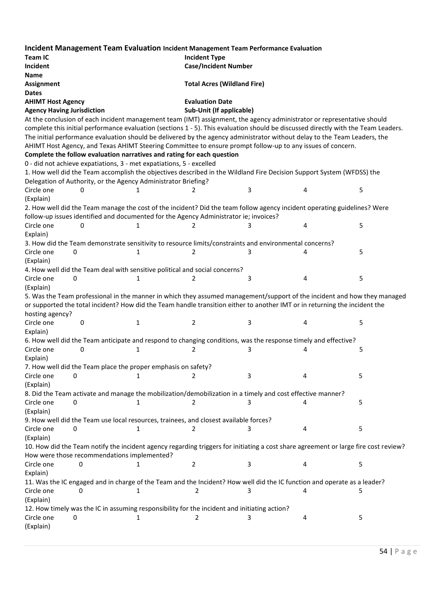|                                                                                                                                                                                    |                                                                             |   | Incident Management Team Evaluation Incident Management Team Performance Evaluation                                                |   |   |   |
|------------------------------------------------------------------------------------------------------------------------------------------------------------------------------------|-----------------------------------------------------------------------------|---|------------------------------------------------------------------------------------------------------------------------------------|---|---|---|
| <b>Team IC</b>                                                                                                                                                                     |                                                                             |   | <b>Incident Type</b>                                                                                                               |   |   |   |
| Incident                                                                                                                                                                           |                                                                             |   | <b>Case/Incident Number</b>                                                                                                        |   |   |   |
| Name                                                                                                                                                                               |                                                                             |   |                                                                                                                                    |   |   |   |
| Assignment                                                                                                                                                                         |                                                                             |   | <b>Total Acres (Wildland Fire)</b>                                                                                                 |   |   |   |
| <b>Dates</b>                                                                                                                                                                       |                                                                             |   |                                                                                                                                    |   |   |   |
| <b>AHIMT Host Agency</b>                                                                                                                                                           |                                                                             |   | <b>Evaluation Date</b>                                                                                                             |   |   |   |
| <b>Agency Having Jurisdiction</b>                                                                                                                                                  |                                                                             |   | Sub-Unit (If applicable)                                                                                                           |   |   |   |
|                                                                                                                                                                                    |                                                                             |   | At the conclusion of each incident management team (IMT) assignment, the agency administrator or representative should             |   |   |   |
|                                                                                                                                                                                    |                                                                             |   | complete this initial performance evaluation (sections 1 - 5). This evaluation should be discussed directly with the Team Leaders. |   |   |   |
|                                                                                                                                                                                    |                                                                             |   | The initial performance evaluation should be delivered by the agency administrator without delay to the Team Leaders, the          |   |   |   |
|                                                                                                                                                                                    |                                                                             |   | AHIMT Host Agency, and Texas AHIMT Steering Committee to ensure prompt follow-up to any issues of concern.                         |   |   |   |
|                                                                                                                                                                                    | Complete the follow evaluation narratives and rating for each question      |   |                                                                                                                                    |   |   |   |
|                                                                                                                                                                                    | 0 - did not achieve expatiations, 3 - met expatiations, 5 - excelled        |   |                                                                                                                                    |   |   |   |
|                                                                                                                                                                                    |                                                                             |   | 1. How well did the Team accomplish the objectives described in the Wildland Fire Decision Support System (WFDSS) the              |   |   |   |
|                                                                                                                                                                                    | Delegation of Authority, or the Agency Administrator Briefing?              |   |                                                                                                                                    |   |   |   |
| Circle one                                                                                                                                                                         | 0                                                                           | 1 | 2                                                                                                                                  | 3 | 4 | 5 |
| (Explain)                                                                                                                                                                          |                                                                             |   |                                                                                                                                    |   |   |   |
|                                                                                                                                                                                    |                                                                             |   | 2. How well did the Team manage the cost of the incident? Did the team follow agency incident operating guidelines? Were           |   |   |   |
|                                                                                                                                                                                    |                                                                             |   | follow-up issues identified and documented for the Agency Administrator ie; invoices?                                              |   |   |   |
| Circle one                                                                                                                                                                         | 0                                                                           | 1 | 2                                                                                                                                  | 3 | 4 | 5 |
| Explain)                                                                                                                                                                           |                                                                             |   |                                                                                                                                    |   |   |   |
|                                                                                                                                                                                    |                                                                             |   | 3. How did the Team demonstrate sensitivity to resource limits/constraints and environmental concerns?                             |   |   |   |
| Circle one                                                                                                                                                                         | 0                                                                           | 1 | 2                                                                                                                                  | 3 | 4 | 5 |
| (Explain)                                                                                                                                                                          |                                                                             |   |                                                                                                                                    |   |   |   |
|                                                                                                                                                                                    | 4. How well did the Team deal with sensitive political and social concerns? |   |                                                                                                                                    |   |   |   |
| Circle one                                                                                                                                                                         | 0                                                                           | 1 | 2                                                                                                                                  | 3 | 4 | 5 |
| (Explain)                                                                                                                                                                          |                                                                             |   |                                                                                                                                    |   |   |   |
|                                                                                                                                                                                    |                                                                             |   | 5. Was the Team professional in the manner in which they assumed management/support of the incident and how they managed           |   |   |   |
|                                                                                                                                                                                    |                                                                             |   | or supported the total incident? How did the Team handle transition either to another IMT or in returning the incident the         |   |   |   |
| hosting agency?                                                                                                                                                                    |                                                                             |   |                                                                                                                                    |   |   |   |
| Circle one                                                                                                                                                                         | 0                                                                           | 1 | 2                                                                                                                                  | 3 | 4 | 5 |
| Explain)                                                                                                                                                                           |                                                                             |   |                                                                                                                                    |   |   |   |
|                                                                                                                                                                                    |                                                                             |   | 6. How well did the Team anticipate and respond to changing conditions, was the response timely and effective?                     |   |   |   |
| Circle one                                                                                                                                                                         | 0                                                                           | 1 | 2                                                                                                                                  | 3 |   | 5 |
| Explain)                                                                                                                                                                           |                                                                             |   |                                                                                                                                    |   |   |   |
|                                                                                                                                                                                    | 7. How well did the Team place the proper emphasis on safety?               |   |                                                                                                                                    |   |   |   |
| Circle one                                                                                                                                                                         | 0                                                                           | 1 | 2                                                                                                                                  | 3 | 4 | 5 |
| (Explain)                                                                                                                                                                          |                                                                             |   |                                                                                                                                    |   |   |   |
|                                                                                                                                                                                    |                                                                             |   | 8. Did the Team activate and manage the mobilization/demobilization in a timely and cost effective manner?                         |   |   |   |
| Circle one                                                                                                                                                                         | 0                                                                           | 1 | 2                                                                                                                                  |   |   | 5 |
| (Explain)                                                                                                                                                                          |                                                                             |   |                                                                                                                                    |   |   |   |
|                                                                                                                                                                                    |                                                                             |   | 9. How well did the Team use local resources, trainees, and closest available forces?                                              |   |   |   |
| Circle one                                                                                                                                                                         | 0                                                                           | 1 | 2                                                                                                                                  | 3 | 4 | 5 |
| (Explain)                                                                                                                                                                          |                                                                             |   |                                                                                                                                    |   |   |   |
| 10. How did the Team notify the incident agency regarding triggers for initiating a cost share agreement or large fire cost review?<br>How were those recommendations implemented? |                                                                             |   |                                                                                                                                    |   |   |   |
|                                                                                                                                                                                    |                                                                             |   |                                                                                                                                    |   |   |   |
| Circle one                                                                                                                                                                         | 0                                                                           | 1 | 2                                                                                                                                  | 3 | 4 | 5 |
| Explain)                                                                                                                                                                           |                                                                             |   |                                                                                                                                    |   |   |   |
|                                                                                                                                                                                    |                                                                             |   | 11. Was the IC engaged and in charge of the Team and the Incident? How well did the IC function and operate as a leader?           |   |   |   |
| Circle one                                                                                                                                                                         | 0                                                                           | 1 | 2                                                                                                                                  |   | 4 | 5 |
|                                                                                                                                                                                    | (Explain)                                                                   |   |                                                                                                                                    |   |   |   |
| 12. How timely was the IC in assuming responsibility for the incident and initiating action?                                                                                       |                                                                             |   |                                                                                                                                    |   |   |   |
| Circle one                                                                                                                                                                         | 0                                                                           | 1 |                                                                                                                                    | 3 | 4 | 5 |
| (Explain)                                                                                                                                                                          |                                                                             |   |                                                                                                                                    |   |   |   |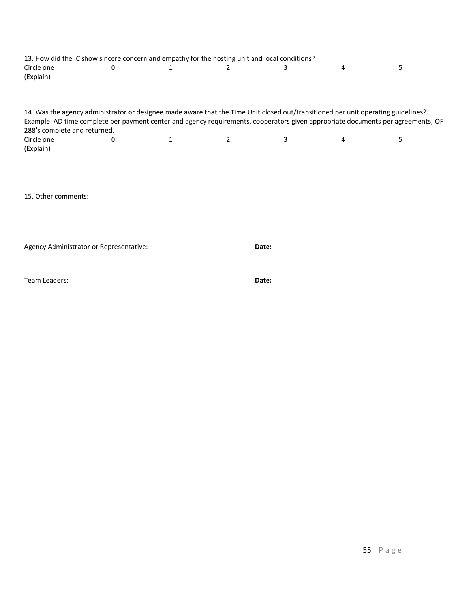| 13. How did the IC show sincere concern and empathy for the hosting unit and local conditions?                                                                   |   |   |       |   |   |   |
|------------------------------------------------------------------------------------------------------------------------------------------------------------------|---|---|-------|---|---|---|
| Circle one<br>(Explain)                                                                                                                                          | 0 | 1 | 2     | 3 | 4 | 5 |
| 14. Was the agency administrator or designee made aware that the Time Unit closed out/transitioned per unit operating guidelines?                                |   |   |       |   |   |   |
| Example: AD time complete per payment center and agency requirements, cooperators given appropriate documents per agreements, OF<br>288's complete and returned. |   |   |       |   |   |   |
| Circle one<br>(Explain)                                                                                                                                          | 0 | 1 | 2     | 3 | 4 | 5 |
|                                                                                                                                                                  |   |   |       |   |   |   |
| 15. Other comments:                                                                                                                                              |   |   |       |   |   |   |
| Agency Administrator or Representative:                                                                                                                          |   |   | Date: |   |   |   |
| Team Leaders:                                                                                                                                                    |   |   | Date: |   |   |   |